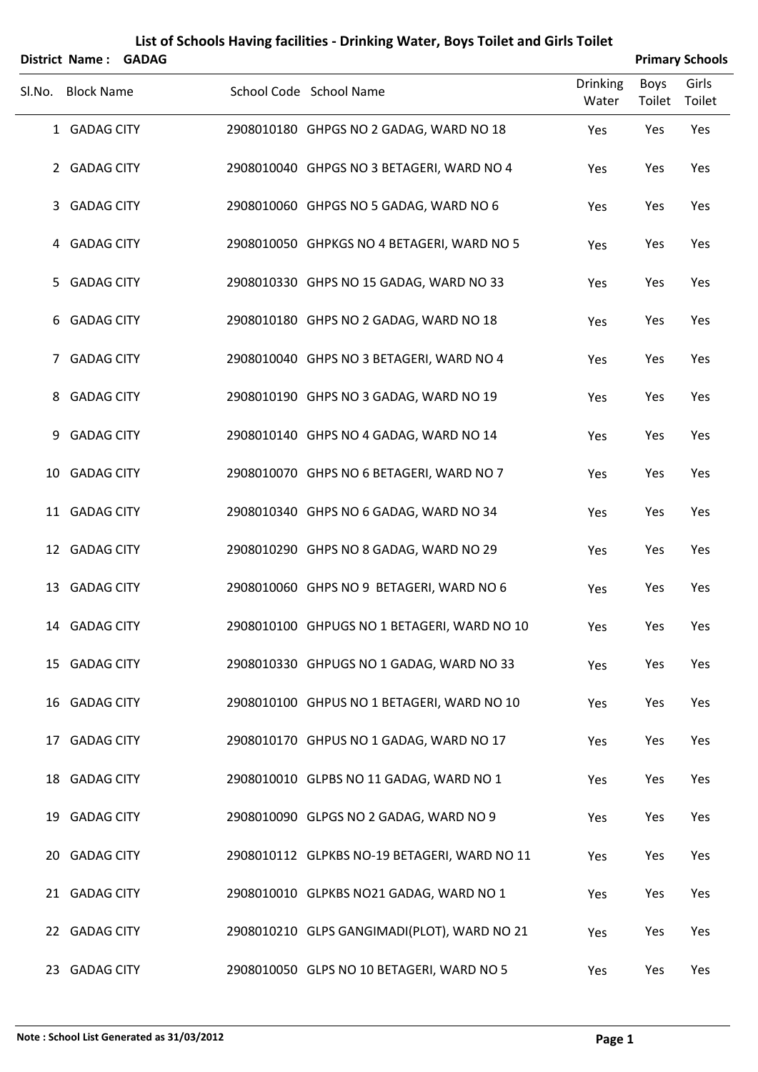|        | District Name: GADAG |  |                                              |                          | <b>Primary Schools</b> |                 |
|--------|----------------------|--|----------------------------------------------|--------------------------|------------------------|-----------------|
| SI.No. | <b>Block Name</b>    |  | School Code School Name                      | <b>Drinking</b><br>Water | <b>Boys</b><br>Toilet  | Girls<br>Toilet |
|        | 1 GADAG CITY         |  | 2908010180 GHPGS NO 2 GADAG, WARD NO 18      | Yes                      | Yes                    | Yes             |
|        | 2 GADAG CITY         |  | 2908010040 GHPGS NO 3 BETAGERI, WARD NO 4    | Yes                      | Yes                    | Yes             |
| 3      | <b>GADAG CITY</b>    |  | 2908010060 GHPGS NO 5 GADAG, WARD NO 6       | Yes                      | Yes                    | Yes             |
|        | 4 GADAG CITY         |  | 2908010050 GHPKGS NO 4 BETAGERI, WARD NO 5   | Yes                      | Yes                    | Yes             |
| 5.     | <b>GADAG CITY</b>    |  | 2908010330 GHPS NO 15 GADAG, WARD NO 33      | Yes                      | Yes                    | Yes             |
| 6      | <b>GADAG CITY</b>    |  | 2908010180 GHPS NO 2 GADAG, WARD NO 18       | Yes                      | Yes                    | Yes             |
| 7      | <b>GADAG CITY</b>    |  | 2908010040 GHPS NO 3 BETAGERI, WARD NO 4     | Yes                      | Yes                    | Yes             |
| 8      | <b>GADAG CITY</b>    |  | 2908010190 GHPS NO 3 GADAG, WARD NO 19       | Yes                      | Yes                    | Yes             |
| 9      | <b>GADAG CITY</b>    |  | 2908010140 GHPS NO 4 GADAG, WARD NO 14       | Yes                      | Yes                    | Yes             |
|        | 10 GADAG CITY        |  | 2908010070 GHPS NO 6 BETAGERI, WARD NO 7     | Yes                      | Yes                    | Yes             |
|        | 11 GADAG CITY        |  | 2908010340 GHPS NO 6 GADAG, WARD NO 34       | Yes                      | Yes                    | Yes             |
|        | 12 GADAG CITY        |  | 2908010290 GHPS NO 8 GADAG, WARD NO 29       | Yes                      | Yes                    | Yes             |
|        | 13 GADAG CITY        |  | 2908010060 GHPS NO 9 BETAGERI, WARD NO 6     | Yes                      | Yes                    | Yes             |
|        | 14 GADAG CITY        |  | 2908010100 GHPUGS NO 1 BETAGERI, WARD NO 10  | Yes                      | Yes                    | Yes             |
|        | 15 GADAG CITY        |  | 2908010330 GHPUGS NO 1 GADAG, WARD NO 33     | Yes                      | Yes                    | Yes             |
|        | 16 GADAG CITY        |  | 2908010100 GHPUS NO 1 BETAGERI, WARD NO 10   | Yes                      | Yes                    | Yes             |
|        | 17 GADAG CITY        |  | 2908010170 GHPUS NO 1 GADAG, WARD NO 17      | Yes                      | Yes                    | Yes             |
|        | 18 GADAG CITY        |  | 2908010010 GLPBS NO 11 GADAG, WARD NO 1      | Yes                      | Yes                    | Yes             |
|        | 19 GADAG CITY        |  | 2908010090 GLPGS NO 2 GADAG, WARD NO 9       | Yes                      | Yes                    | Yes             |
|        | 20 GADAG CITY        |  | 2908010112 GLPKBS NO-19 BETAGERI, WARD NO 11 | Yes                      | Yes                    | Yes             |
|        | 21 GADAG CITY        |  | 2908010010 GLPKBS NO21 GADAG, WARD NO 1      | Yes                      | Yes                    | Yes             |
|        | 22 GADAG CITY        |  | 2908010210 GLPS GANGIMADI(PLOT), WARD NO 21  | Yes                      | Yes                    | Yes             |
|        | 23 GADAG CITY        |  | 2908010050 GLPS NO 10 BETAGERI, WARD NO 5    | Yes                      | Yes                    | Yes             |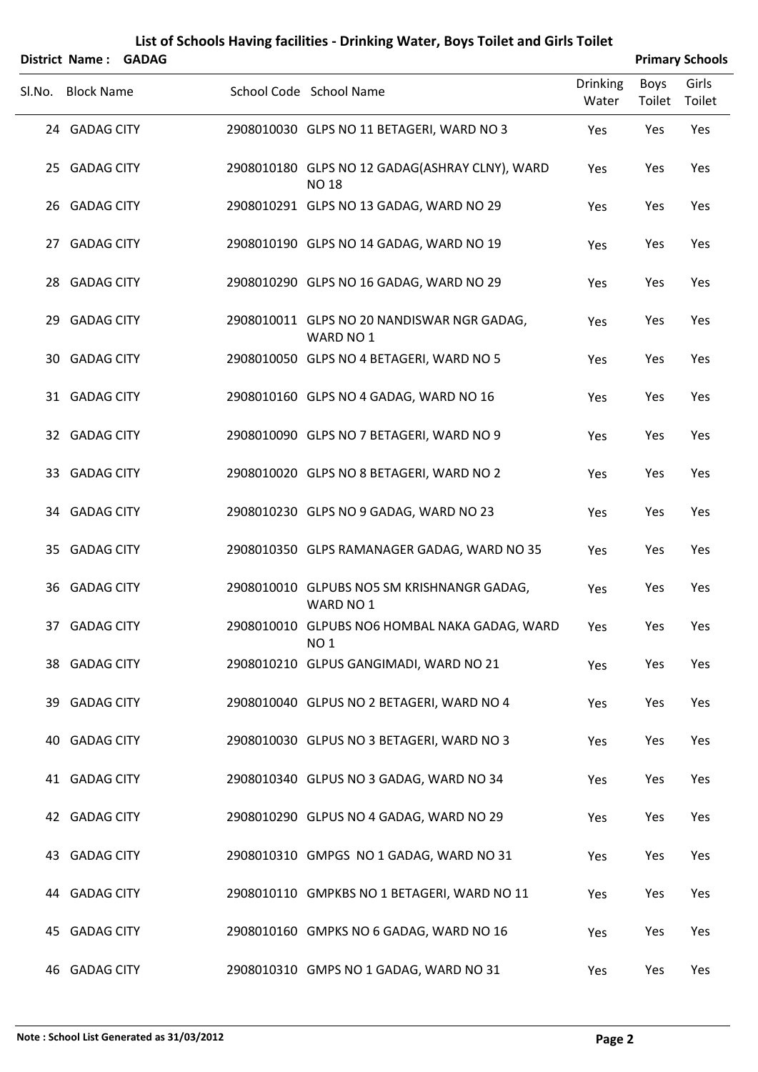|        | District Name:    | <b>GADAG</b> |                                                                          |                          | <b>Primary Schools</b> |                 |
|--------|-------------------|--------------|--------------------------------------------------------------------------|--------------------------|------------------------|-----------------|
| Sl.No. | <b>Block Name</b> |              | School Code School Name                                                  | <b>Drinking</b><br>Water | <b>Boys</b><br>Toilet  | Girls<br>Toilet |
|        | 24 GADAG CITY     |              | 2908010030 GLPS NO 11 BETAGERI, WARD NO 3                                | Yes                      | Yes                    | Yes             |
|        | 25 GADAG CITY     |              | 2908010180 GLPS NO 12 GADAG(ASHRAY CLNY), WARD<br><b>NO<sub>18</sub></b> | Yes                      | Yes                    | Yes             |
|        | 26 GADAG CITY     |              | 2908010291 GLPS NO 13 GADAG, WARD NO 29                                  | Yes                      | Yes                    | Yes             |
|        | 27 GADAG CITY     |              | 2908010190 GLPS NO 14 GADAG, WARD NO 19                                  | Yes                      | Yes                    | Yes             |
|        | 28 GADAG CITY     |              | 2908010290 GLPS NO 16 GADAG, WARD NO 29                                  | Yes                      | Yes                    | Yes             |
|        | 29 GADAG CITY     |              | 2908010011 GLPS NO 20 NANDISWAR NGR GADAG,<br>WARD NO 1                  | Yes                      | Yes                    | Yes             |
|        | 30 GADAG CITY     |              | 2908010050 GLPS NO 4 BETAGERI, WARD NO 5                                 | Yes                      | Yes                    | Yes             |
|        | 31 GADAG CITY     |              | 2908010160 GLPS NO 4 GADAG, WARD NO 16                                   | Yes                      | Yes                    | Yes             |
|        | 32 GADAG CITY     |              | 2908010090 GLPS NO 7 BETAGERI, WARD NO 9                                 | Yes                      | Yes                    | Yes             |
|        | 33 GADAG CITY     |              | 2908010020 GLPS NO 8 BETAGERI, WARD NO 2                                 | Yes                      | Yes                    | Yes             |
|        | 34 GADAG CITY     |              | 2908010230 GLPS NO 9 GADAG, WARD NO 23                                   | Yes                      | Yes                    | Yes             |
|        | 35 GADAG CITY     |              | 2908010350 GLPS RAMANAGER GADAG, WARD NO 35                              | Yes                      | Yes                    | Yes             |
|        | 36 GADAG CITY     |              | 2908010010 GLPUBS NO5 SM KRISHNANGR GADAG,<br>WARD NO 1                  | Yes                      | Yes                    | Yes             |
|        | 37 GADAG CITY     |              | 2908010010 GLPUBS NO6 HOMBAL NAKA GADAG, WARD<br><b>NO1</b>              | Yes                      | Yes                    | Yes             |
|        | 38 GADAG CITY     |              | 2908010210 GLPUS GANGIMADI, WARD NO 21                                   | Yes                      | Yes                    | Yes             |
|        | 39 GADAG CITY     |              | 2908010040 GLPUS NO 2 BETAGERI, WARD NO 4                                | Yes                      | Yes                    | Yes             |
|        | 40 GADAG CITY     |              | 2908010030 GLPUS NO 3 BETAGERI, WARD NO 3                                | Yes                      | Yes                    | Yes             |
|        | 41 GADAG CITY     |              | 2908010340 GLPUS NO 3 GADAG, WARD NO 34                                  | Yes                      | Yes                    | Yes             |
|        | 42 GADAG CITY     |              | 2908010290 GLPUS NO 4 GADAG, WARD NO 29                                  | Yes                      | Yes                    | Yes             |
|        | 43 GADAG CITY     |              | 2908010310 GMPGS NO 1 GADAG, WARD NO 31                                  | Yes                      | Yes                    | Yes             |
|        | 44 GADAG CITY     |              | 2908010110 GMPKBS NO 1 BETAGERI, WARD NO 11                              | Yes                      | Yes                    | Yes             |
|        | 45 GADAG CITY     |              | 2908010160 GMPKS NO 6 GADAG, WARD NO 16                                  | Yes                      | Yes                    | Yes             |
|        |                   |              |                                                                          |                          |                        |                 |

46 GADAG CITY 2908010310 GMPS NO 1 GADAG, WARD NO 31 Yes Yes Yes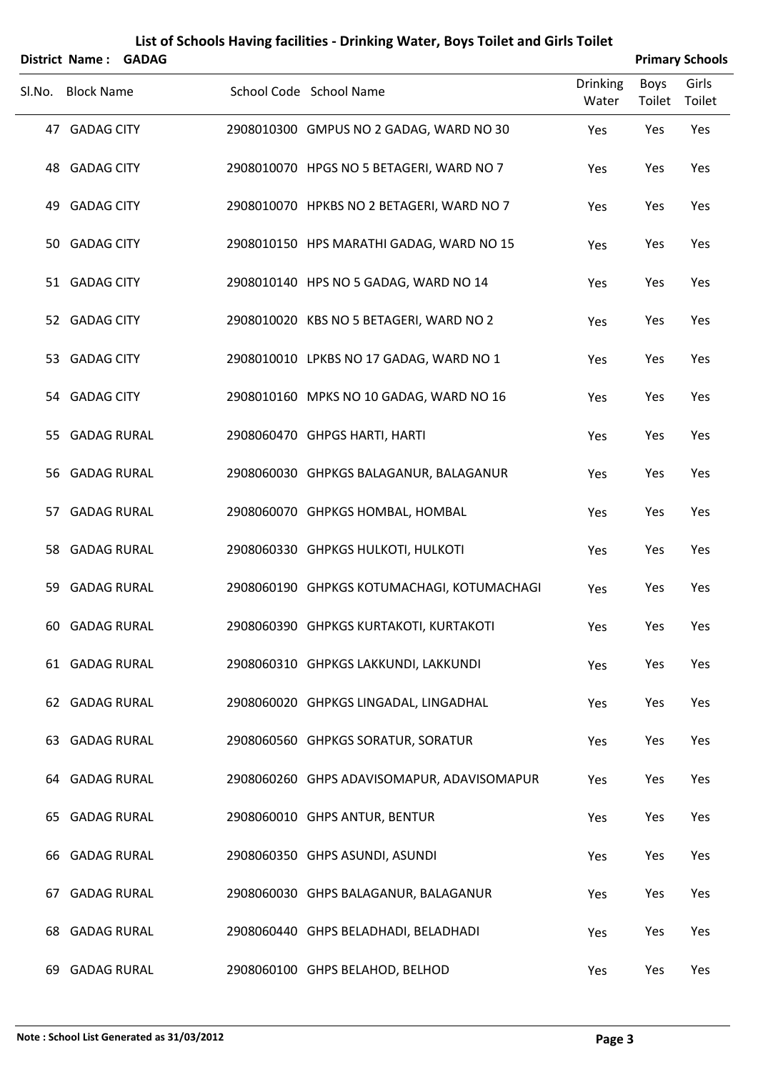|        | <b>District Name: GADAG</b> |  |                                            |                          |                       | <b>Primary Schools</b> |
|--------|-----------------------------|--|--------------------------------------------|--------------------------|-----------------------|------------------------|
| Sl.No. | <b>Block Name</b>           |  | School Code School Name                    | <b>Drinking</b><br>Water | <b>Boys</b><br>Toilet | Girls<br>Toilet        |
|        | 47 GADAG CITY               |  | 2908010300 GMPUS NO 2 GADAG, WARD NO 30    | Yes                      | Yes                   | Yes                    |
|        | 48 GADAG CITY               |  | 2908010070 HPGS NO 5 BETAGERI, WARD NO 7   | Yes                      | Yes                   | Yes                    |
| 49     | <b>GADAG CITY</b>           |  | 2908010070 HPKBS NO 2 BETAGERI, WARD NO 7  | Yes                      | Yes                   | Yes                    |
|        | 50 GADAG CITY               |  | 2908010150 HPS MARATHI GADAG, WARD NO 15   | Yes                      | Yes                   | Yes                    |
|        | 51 GADAG CITY               |  | 2908010140 HPS NO 5 GADAG, WARD NO 14      | Yes                      | Yes                   | Yes                    |
|        | 52 GADAG CITY               |  | 2908010020 KBS NO 5 BETAGERI, WARD NO 2    | Yes                      | Yes                   | Yes                    |
|        | 53 GADAG CITY               |  | 2908010010 LPKBS NO 17 GADAG, WARD NO 1    | Yes                      | Yes                   | Yes                    |
|        | 54 GADAG CITY               |  | 2908010160 MPKS NO 10 GADAG, WARD NO 16    | Yes                      | Yes                   | Yes                    |
|        | 55 GADAG RURAL              |  | 2908060470 GHPGS HARTI, HARTI              | Yes                      | Yes                   | Yes                    |
|        | 56 GADAG RURAL              |  | 2908060030 GHPKGS BALAGANUR, BALAGANUR     | Yes                      | Yes                   | Yes                    |
|        | 57 GADAG RURAL              |  | 2908060070 GHPKGS HOMBAL, HOMBAL           | Yes                      | Yes                   | Yes                    |
|        | 58 GADAG RURAL              |  | 2908060330 GHPKGS HULKOTI, HULKOTI         | Yes                      | Yes                   | Yes                    |
| 59     | <b>GADAG RURAL</b>          |  | 2908060190 GHPKGS KOTUMACHAGI, KOTUMACHAGI | Yes                      | Yes                   | Yes                    |
|        | 60 GADAG RURAL              |  | 2908060390 GHPKGS KURTAKOTI, KURTAKOTI     | Yes                      | Yes                   | Yes                    |
|        | 61 GADAG RURAL              |  | 2908060310 GHPKGS LAKKUNDI, LAKKUNDI       | Yes                      | Yes                   | Yes                    |
|        | 62 GADAG RURAL              |  | 2908060020 GHPKGS LINGADAL, LINGADHAL      | Yes                      | Yes                   | Yes                    |
|        | 63 GADAG RURAL              |  | 2908060560 GHPKGS SORATUR, SORATUR         | Yes                      | Yes                   | Yes                    |
|        | 64 GADAG RURAL              |  | 2908060260 GHPS ADAVISOMAPUR, ADAVISOMAPUR | Yes                      | Yes                   | Yes                    |
|        | 65 GADAG RURAL              |  | 2908060010 GHPS ANTUR, BENTUR              | Yes                      | Yes                   | Yes                    |
|        | 66 GADAG RURAL              |  | 2908060350 GHPS ASUNDI, ASUNDI             | Yes                      | Yes                   | Yes                    |
| 67     | <b>GADAG RURAL</b>          |  | 2908060030 GHPS BALAGANUR, BALAGANUR       | Yes                      | Yes                   | Yes                    |
|        | <b>68 GADAG RURAL</b>       |  | 2908060440 GHPS BELADHADI, BELADHADI       | Yes                      | Yes                   | Yes                    |
| 69.    | <b>GADAG RURAL</b>          |  | 2908060100 GHPS BELAHOD, BELHOD            | Yes                      | Yes                   | Yes                    |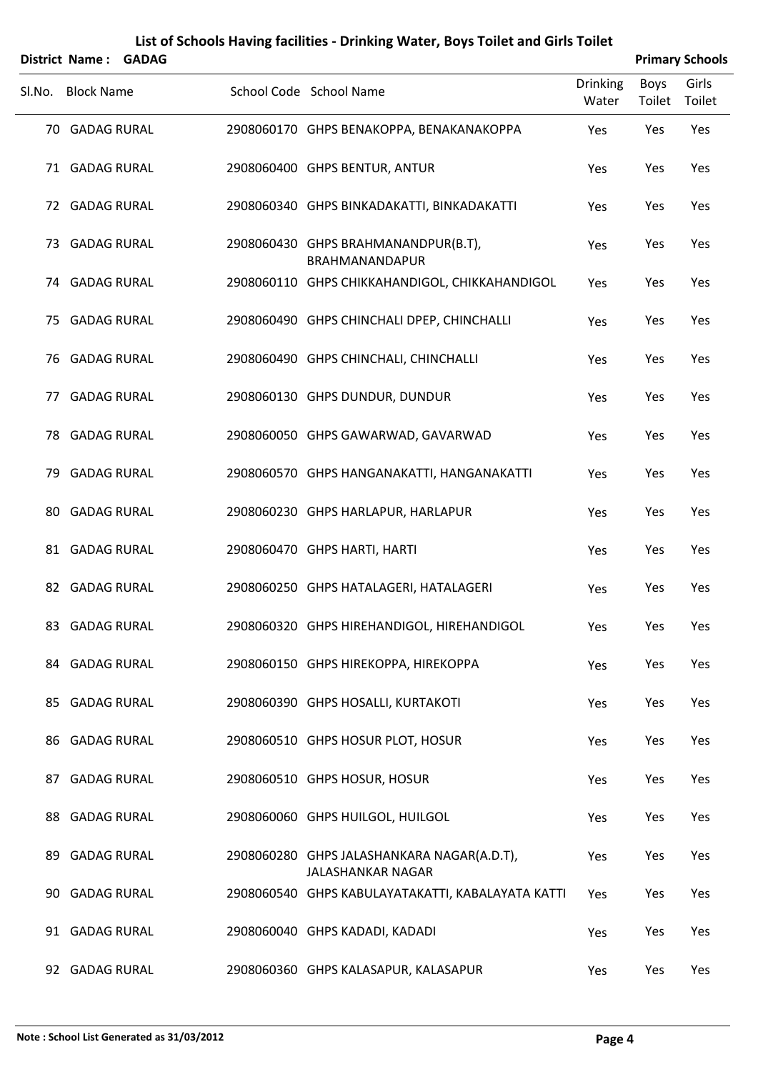|        | <b>District Name: GADAG</b> |  |                                                                        |                          |                | <b>Primary Schools</b> |
|--------|-----------------------------|--|------------------------------------------------------------------------|--------------------------|----------------|------------------------|
| SI.No. | <b>Block Name</b>           |  | School Code School Name                                                | <b>Drinking</b><br>Water | Boys<br>Toilet | Girls<br>Toilet        |
|        | 70 GADAG RURAL              |  | 2908060170 GHPS BENAKOPPA, BENAKANAKOPPA                               | Yes                      | Yes            | Yes                    |
|        | 71 GADAG RURAL              |  | 2908060400 GHPS BENTUR, ANTUR                                          | Yes                      | Yes            | Yes                    |
|        | 72 GADAG RURAL              |  | 2908060340 GHPS BINKADAKATTI, BINKADAKATTI                             | Yes                      | Yes            | Yes                    |
|        | 73 GADAG RURAL              |  | 2908060430 GHPS BRAHMANANDPUR(B.T),<br>BRAHMANANDAPUR                  | Yes                      | Yes            | Yes                    |
|        | 74 GADAG RURAL              |  | 2908060110 GHPS CHIKKAHANDIGOL, CHIKKAHANDIGOL                         | Yes                      | Yes            | Yes                    |
|        | 75 GADAG RURAL              |  | 2908060490 GHPS CHINCHALI DPEP, CHINCHALLI                             | Yes                      | Yes            | Yes                    |
|        | 76 GADAG RURAL              |  | 2908060490 GHPS CHINCHALI, CHINCHALLI                                  | Yes                      | Yes            | Yes                    |
|        | 77 GADAG RURAL              |  | 2908060130 GHPS DUNDUR, DUNDUR                                         | Yes                      | Yes            | Yes                    |
|        | 78 GADAG RURAL              |  | 2908060050 GHPS GAWARWAD, GAVARWAD                                     | Yes                      | Yes            | Yes                    |
|        | 79 GADAG RURAL              |  | 2908060570 GHPS HANGANAKATTI, HANGANAKATTI                             | Yes                      | Yes            | Yes                    |
|        | 80 GADAG RURAL              |  | 2908060230 GHPS HARLAPUR, HARLAPUR                                     | Yes                      | Yes            | Yes                    |
|        | 81 GADAG RURAL              |  | 2908060470 GHPS HARTI, HARTI                                           | Yes                      | Yes            | Yes                    |
|        | 82 GADAG RURAL              |  | 2908060250 GHPS HATALAGERI, HATALAGERI                                 | Yes                      | Yes            | Yes                    |
|        | 83 GADAG RURAL              |  | 2908060320 GHPS HIREHANDIGOL, HIREHANDIGOL                             | Yes                      | Yes            | Yes                    |
|        | 84 GADAG RURAL              |  | 2908060150 GHPS HIREKOPPA, HIREKOPPA                                   | Yes                      | Yes            | Yes                    |
|        | 85 GADAG RURAL              |  | 2908060390 GHPS HOSALLI, KURTAKOTI                                     | Yes                      | Yes            | Yes                    |
|        | 86 GADAG RURAL              |  | 2908060510 GHPS HOSUR PLOT, HOSUR                                      | Yes                      | Yes            | Yes                    |
|        | 87 GADAG RURAL              |  | 2908060510 GHPS HOSUR, HOSUR                                           | Yes                      | Yes            | Yes                    |
|        | 88 GADAG RURAL              |  | 2908060060 GHPS HUILGOL, HUILGOL                                       | Yes                      | Yes            | Yes                    |
|        | 89 GADAG RURAL              |  | 2908060280 GHPS JALASHANKARA NAGAR(A.D.T),<br><b>JALASHANKAR NAGAR</b> | Yes                      | Yes            | Yes                    |
|        | 90 GADAG RURAL              |  | 2908060540 GHPS KABULAYATAKATTI, KABALAYATA KATTI                      | Yes                      | Yes            | Yes                    |
|        | 91 GADAG RURAL              |  | 2908060040 GHPS KADADI, KADADI                                         | Yes                      | Yes            | Yes                    |
|        | 92 GADAG RURAL              |  | 2908060360 GHPS KALASAPUR, KALASAPUR                                   | Yes                      | Yes            | Yes                    |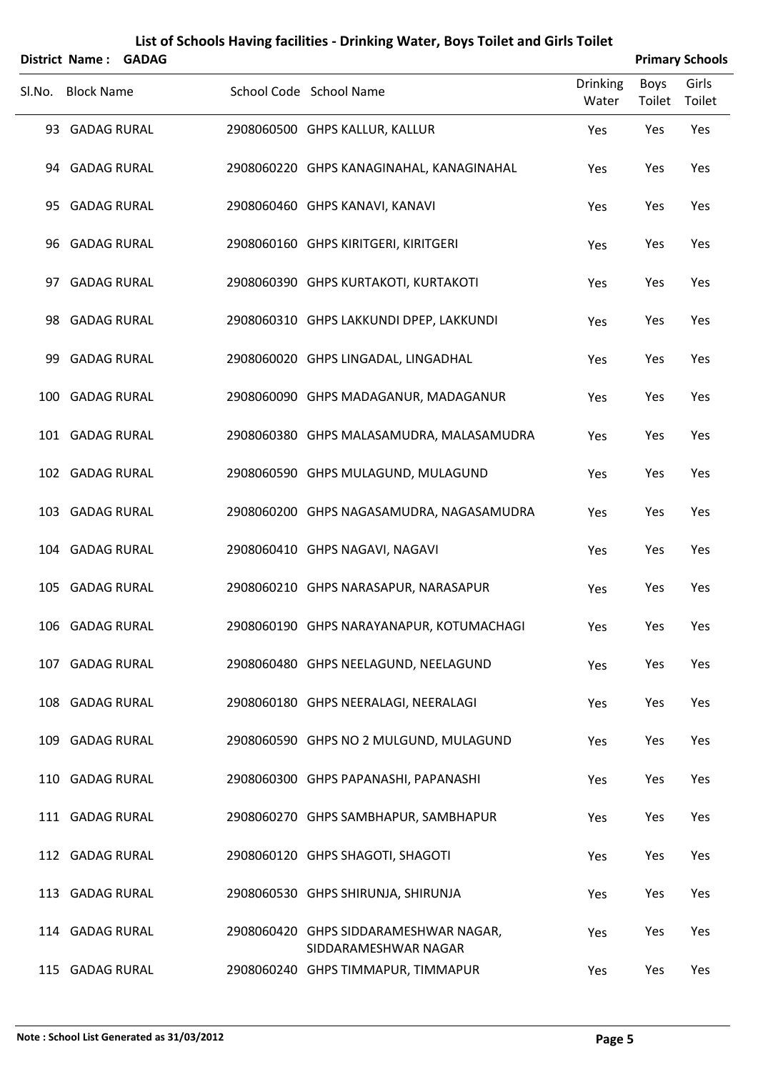|        | District Name: GADAG |  |                                                               |                          |                       | <b>Primary Schools</b> |
|--------|----------------------|--|---------------------------------------------------------------|--------------------------|-----------------------|------------------------|
| SI.No. | <b>Block Name</b>    |  | School Code School Name                                       | <b>Drinking</b><br>Water | <b>Boys</b><br>Toilet | Girls<br>Toilet        |
|        | 93 GADAG RURAL       |  | 2908060500 GHPS KALLUR, KALLUR                                | Yes                      | Yes                   | Yes                    |
|        | 94 GADAG RURAL       |  | 2908060220 GHPS KANAGINAHAL, KANAGINAHAL                      | Yes                      | Yes                   | Yes                    |
|        | 95 GADAG RURAL       |  | 2908060460 GHPS KANAVI, KANAVI                                | Yes                      | Yes                   | Yes                    |
|        | 96 GADAG RURAL       |  | 2908060160 GHPS KIRITGERI, KIRITGERI                          | Yes                      | Yes                   | Yes                    |
| 97     | <b>GADAG RURAL</b>   |  | 2908060390 GHPS KURTAKOTI, KURTAKOTI                          | Yes                      | Yes                   | Yes                    |
|        | 98 GADAG RURAL       |  | 2908060310 GHPS LAKKUNDI DPEP, LAKKUNDI                       | Yes                      | Yes                   | Yes                    |
| 99     | <b>GADAG RURAL</b>   |  | 2908060020 GHPS LINGADAL, LINGADHAL                           | Yes                      | Yes                   | Yes                    |
| 100    | <b>GADAG RURAL</b>   |  | 2908060090 GHPS MADAGANUR, MADAGANUR                          | Yes                      | Yes                   | Yes                    |
|        | 101 GADAG RURAL      |  | 2908060380 GHPS MALASAMUDRA, MALASAMUDRA                      | Yes                      | Yes                   | Yes                    |
|        | 102 GADAG RURAL      |  | 2908060590 GHPS MULAGUND, MULAGUND                            | Yes                      | Yes                   | Yes                    |
|        | 103 GADAG RURAL      |  | 2908060200 GHPS NAGASAMUDRA, NAGASAMUDRA                      | Yes                      | Yes                   | Yes                    |
|        | 104 GADAG RURAL      |  | 2908060410 GHPS NAGAVI, NAGAVI                                | Yes                      | Yes                   | Yes                    |
|        | 105 GADAG RURAL      |  | 2908060210 GHPS NARASAPUR, NARASAPUR                          | Yes                      | Yes                   | Yes                    |
|        | 106 GADAG RURAL      |  | 2908060190 GHPS NARAYANAPUR, KOTUMACHAGI                      | Yes                      | Yes                   | Yes                    |
|        | 107 GADAG RURAL      |  | 2908060480 GHPS NEELAGUND, NEELAGUND                          | Yes                      | Yes                   | Yes                    |
|        | 108 GADAG RURAL      |  | 2908060180 GHPS NEERALAGI, NEERALAGI                          | Yes                      | Yes                   | Yes                    |
|        | 109 GADAG RURAL      |  | 2908060590 GHPS NO 2 MULGUND, MULAGUND                        | Yes                      | Yes                   | Yes                    |
|        | 110 GADAG RURAL      |  | 2908060300 GHPS PAPANASHI, PAPANASHI                          | Yes                      | Yes                   | Yes                    |
|        | 111 GADAG RURAL      |  | 2908060270 GHPS SAMBHAPUR, SAMBHAPUR                          | Yes                      | Yes                   | Yes                    |
|        | 112 GADAG RURAL      |  | 2908060120 GHPS SHAGOTI, SHAGOTI                              | Yes                      | Yes                   | Yes                    |
|        | 113 GADAG RURAL      |  | 2908060530 GHPS SHIRUNJA, SHIRUNJA                            | Yes                      | Yes                   | Yes                    |
|        | 114 GADAG RURAL      |  | 2908060420 GHPS SIDDARAMESHWAR NAGAR,<br>SIDDARAMESHWAR NAGAR | Yes                      | Yes                   | Yes                    |
|        | 115 GADAG RURAL      |  | 2908060240 GHPS TIMMAPUR, TIMMAPUR                            | Yes                      | Yes                   | Yes                    |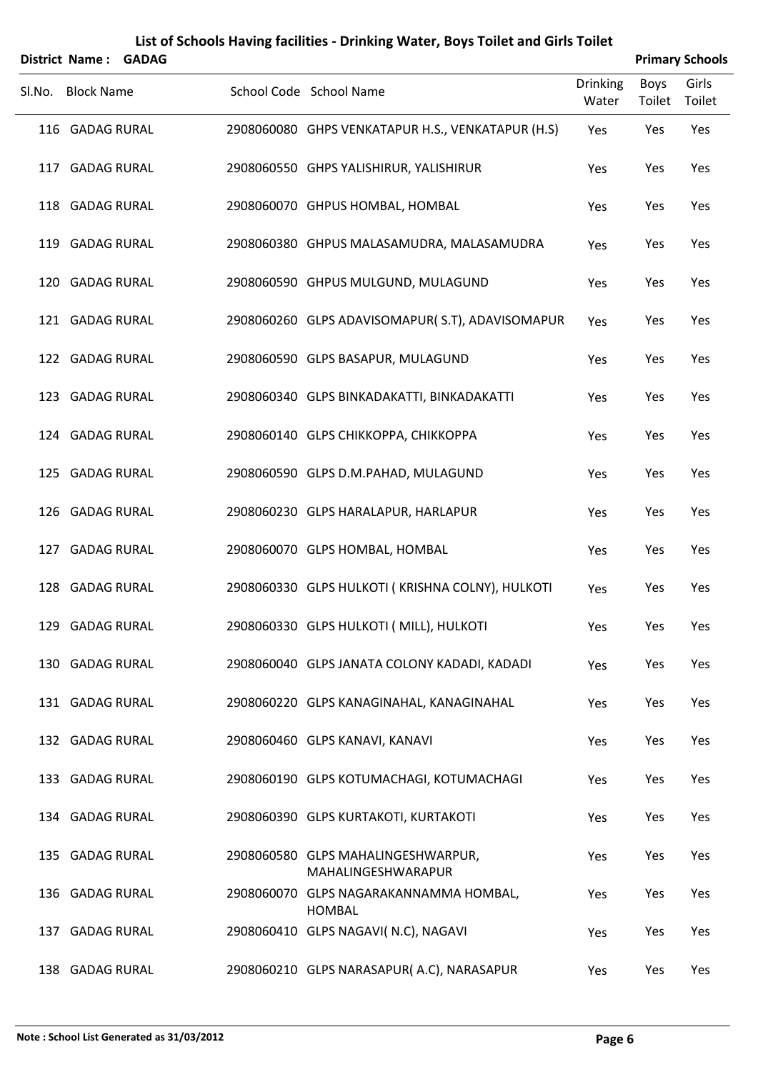|        | District Name:     | <b>GADAG</b> |                                                          |                   |                | <b>Primary Schools</b> |
|--------|--------------------|--------------|----------------------------------------------------------|-------------------|----------------|------------------------|
| SI.No. | <b>Block Name</b>  |              | School Code School Name                                  | Drinking<br>Water | Boys<br>Toilet | Girls<br>Toilet        |
|        | 116 GADAG RURAL    |              | 2908060080 GHPS VENKATAPUR H.S., VENKATAPUR (H.S)        | Yes               | Yes            | Yes                    |
|        | 117 GADAG RURAL    |              | 2908060550 GHPS YALISHIRUR, YALISHIRUR                   | Yes               | Yes            | Yes                    |
|        | 118 GADAG RURAL    |              | 2908060070 GHPUS HOMBAL, HOMBAL                          | Yes               | Yes            | Yes                    |
|        | 119 GADAG RURAL    |              | 2908060380 GHPUS MALASAMUDRA, MALASAMUDRA                | Yes               | Yes            | Yes                    |
|        | 120 GADAG RURAL    |              | 2908060590 GHPUS MULGUND, MULAGUND                       | Yes               | Yes            | Yes                    |
|        | 121 GADAG RURAL    |              | 2908060260 GLPS ADAVISOMAPUR(S.T), ADAVISOMAPUR          | Yes               | Yes            | Yes                    |
|        | 122 GADAG RURAL    |              | 2908060590 GLPS BASAPUR, MULAGUND                        | Yes               | Yes            | Yes                    |
|        | 123 GADAG RURAL    |              | 2908060340 GLPS BINKADAKATTI, BINKADAKATTI               | Yes               | Yes            | Yes                    |
|        | 124 GADAG RURAL    |              | 2908060140 GLPS CHIKKOPPA, CHIKKOPPA                     | Yes               | Yes            | Yes                    |
|        | 125 GADAG RURAL    |              | 2908060590 GLPS D.M.PAHAD, MULAGUND                      | Yes               | Yes            | Yes                    |
|        | 126 GADAG RURAL    |              | 2908060230 GLPS HARALAPUR, HARLAPUR                      | Yes               | Yes            | Yes                    |
|        | 127 GADAG RURAL    |              | 2908060070 GLPS HOMBAL, HOMBAL                           | Yes               | Yes            | Yes                    |
|        | 128 GADAG RURAL    |              | 2908060330 GLPS HULKOTI (KRISHNA COLNY), HULKOTI         | Yes               | Yes            | Yes                    |
|        | 129 GADAG RURAL    |              | 2908060330 GLPS HULKOTI (MILL), HULKOTI                  | Yes               | Yes            | Yes                    |
|        | 130 GADAG RURAL    |              | 2908060040 GLPS JANATA COLONY KADADI, KADADI             | Yes               | Yes            | Yes                    |
|        | 131 GADAG RURAL    |              | 2908060220 GLPS KANAGINAHAL, KANAGINAHAL                 | Yes               | Yes            | Yes                    |
|        | 132 GADAG RURAL    |              | 2908060460 GLPS KANAVI, KANAVI                           | Yes               | Yes            | Yes                    |
|        | 133 GADAG RURAL    |              | 2908060190 GLPS KOTUMACHAGI, KOTUMACHAGI                 | Yes               | Yes            | Yes                    |
|        | 134 GADAG RURAL    |              | 2908060390 GLPS KURTAKOTI, KURTAKOTI                     | Yes               | Yes            | Yes                    |
|        | 135 GADAG RURAL    |              | 2908060580 GLPS MAHALINGESHWARPUR,<br>MAHALINGESHWARAPUR | Yes               | Yes            | Yes                    |
|        | 136 GADAG RURAL    |              | 2908060070 GLPS NAGARAKANNAMMA HOMBAL,<br><b>HOMBAL</b>  | Yes               | Yes            | Yes                    |
| 137    | <b>GADAG RURAL</b> |              | 2908060410 GLPS NAGAVI( N.C), NAGAVI                     | Yes               | Yes            | Yes                    |
|        | 138 GADAG RURAL    |              | 2908060210 GLPS NARASAPUR(A.C), NARASAPUR                | Yes               | Yes            | Yes                    |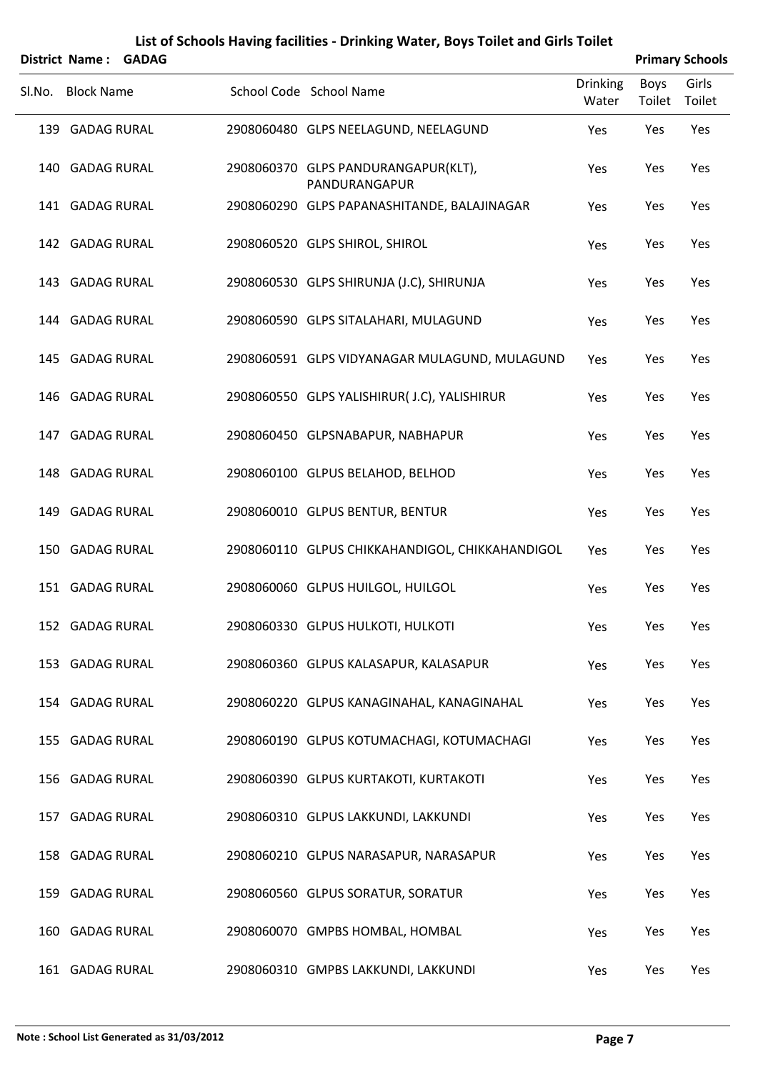|     | <b>District Name:</b> | <b>GADAG</b> |                                                      |                          |                | <b>Primary Schools</b> |
|-----|-----------------------|--------------|------------------------------------------------------|--------------------------|----------------|------------------------|
|     | Sl.No. Block Name     |              | School Code School Name                              | <b>Drinking</b><br>Water | Boys<br>Toilet | Girls<br>Toilet        |
|     | 139 GADAG RURAL       |              | 2908060480 GLPS NEELAGUND, NEELAGUND                 | Yes                      | Yes            | Yes                    |
|     | 140 GADAG RURAL       |              | 2908060370 GLPS PANDURANGAPUR(KLT),<br>PANDURANGAPUR | Yes                      | Yes            | Yes                    |
|     | 141 GADAG RURAL       |              | 2908060290 GLPS PAPANASHITANDE, BALAJINAGAR          | Yes                      | Yes            | Yes                    |
|     | 142 GADAG RURAL       |              | 2908060520 GLPS SHIROL, SHIROL                       | Yes                      | Yes            | Yes                    |
|     | 143 GADAG RURAL       |              | 2908060530 GLPS SHIRUNJA (J.C), SHIRUNJA             | Yes                      | Yes            | Yes                    |
|     | 144 GADAG RURAL       |              | 2908060590 GLPS SITALAHARI, MULAGUND                 | Yes                      | Yes            | Yes                    |
|     | 145 GADAG RURAL       |              | 2908060591 GLPS VIDYANAGAR MULAGUND, MULAGUND        | Yes                      | Yes            | Yes                    |
|     | 146 GADAG RURAL       |              | 2908060550 GLPS YALISHIRUR( J.C), YALISHIRUR         | Yes                      | Yes            | Yes                    |
|     | 147 GADAG RURAL       |              | 2908060450 GLPSNABAPUR, NABHAPUR                     | Yes                      | Yes            | Yes                    |
|     | 148 GADAG RURAL       |              | 2908060100 GLPUS BELAHOD, BELHOD                     | Yes                      | Yes            | Yes                    |
| 149 | <b>GADAG RURAL</b>    |              | 2908060010 GLPUS BENTUR, BENTUR                      | Yes                      | Yes            | Yes                    |
|     | 150 GADAG RURAL       |              | 2908060110 GLPUS CHIKKAHANDIGOL, CHIKKAHANDIGOL      | Yes                      | Yes            | Yes                    |
|     | 151 GADAG RURAL       |              | 2908060060 GLPUS HUILGOL, HUILGOL                    | Yes                      | Yes            | Yes                    |
|     | 152 GADAG RURAL       |              | 2908060330 GLPUS HULKOTI, HULKOTI                    | Yes                      | Yes            | Yes                    |
|     | 153 GADAG RURAL       |              | 2908060360 GLPUS KALASAPUR, KALASAPUR                | Yes                      | Yes            | Yes                    |
|     | 154 GADAG RURAL       |              | 2908060220 GLPUS KANAGINAHAL, KANAGINAHAL            | Yes                      | Yes            | Yes                    |
|     | 155 GADAG RURAL       |              | 2908060190 GLPUS KOTUMACHAGI, KOTUMACHAGI            | Yes                      | Yes            | Yes                    |
|     | 156 GADAG RURAL       |              | 2908060390 GLPUS KURTAKOTI, KURTAKOTI                | Yes                      | Yes            | Yes                    |
|     | 157 GADAG RURAL       |              | 2908060310 GLPUS LAKKUNDI, LAKKUNDI                  | Yes                      | Yes            | Yes                    |
|     | 158 GADAG RURAL       |              | 2908060210 GLPUS NARASAPUR, NARASAPUR                | Yes                      | Yes            | Yes                    |
|     | 159 GADAG RURAL       |              | 2908060560 GLPUS SORATUR, SORATUR                    | Yes                      | Yes            | Yes                    |
|     | 160 GADAG RURAL       |              | 2908060070 GMPBS HOMBAL, HOMBAL                      | Yes                      | Yes            | Yes                    |
|     | 161 GADAG RURAL       |              | 2908060310 GMPBS LAKKUNDI, LAKKUNDI                  | Yes                      | Yes            | Yes                    |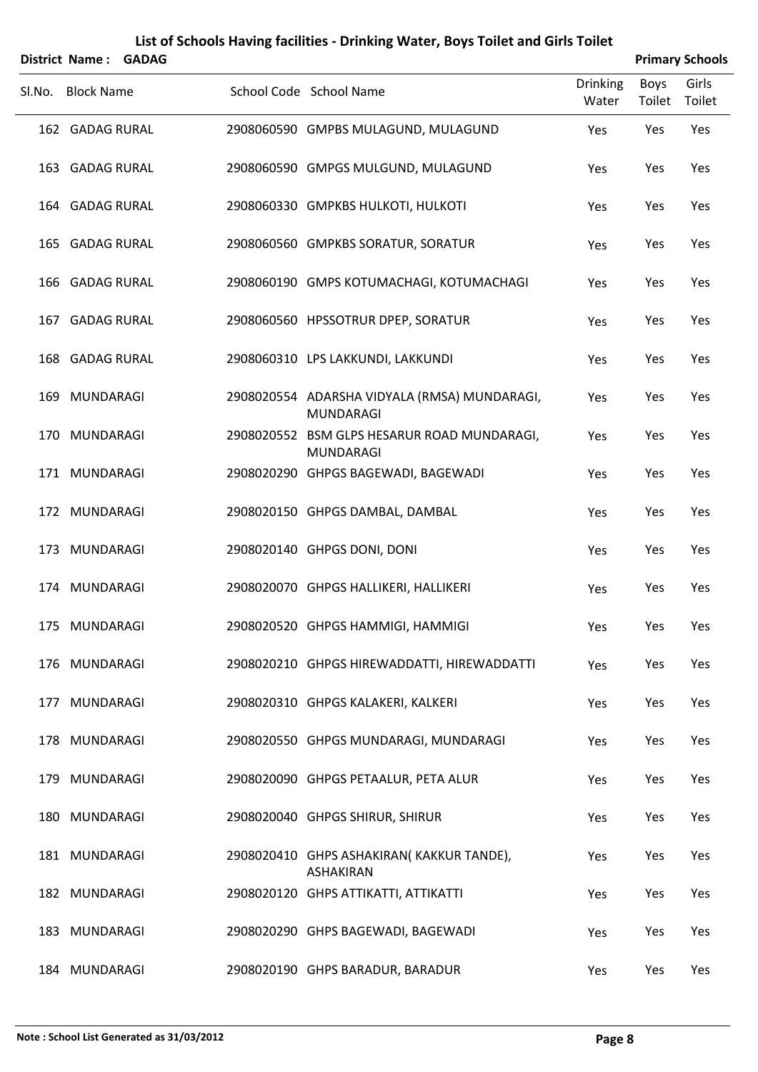|        | District Name:    | <b>GADAG</b> |                                                                  |                          | <b>Primary Schools</b> |                 |
|--------|-------------------|--------------|------------------------------------------------------------------|--------------------------|------------------------|-----------------|
| Sl.No. | <b>Block Name</b> |              | School Code School Name                                          | <b>Drinking</b><br>Water | Boys<br>Toilet         | Girls<br>Toilet |
|        | 162 GADAG RURAL   |              | 2908060590 GMPBS MULAGUND, MULAGUND                              | Yes                      | Yes                    | Yes             |
|        | 163 GADAG RURAL   |              | 2908060590 GMPGS MULGUND, MULAGUND                               | Yes                      | Yes                    | Yes             |
|        | 164 GADAG RURAL   |              | 2908060330 GMPKBS HULKOTI, HULKOTI                               | Yes                      | Yes                    | Yes             |
|        | 165 GADAG RURAL   |              | 2908060560 GMPKBS SORATUR, SORATUR                               | Yes                      | Yes                    | Yes             |
|        | 166 GADAG RURAL   |              | 2908060190 GMPS KOTUMACHAGI, KOTUMACHAGI                         | Yes                      | Yes                    | Yes             |
|        | 167 GADAG RURAL   |              | 2908060560 HPSSOTRUR DPEP, SORATUR                               | Yes                      | Yes                    | Yes             |
|        | 168 GADAG RURAL   |              | 2908060310 LPS LAKKUNDI, LAKKUNDI                                | Yes                      | Yes                    | Yes             |
|        | 169 MUNDARAGI     |              | 2908020554 ADARSHA VIDYALA (RMSA) MUNDARAGI,<br><b>MUNDARAGI</b> | Yes                      | Yes                    | Yes             |
| 170    | MUNDARAGI         |              | 2908020552 BSM GLPS HESARUR ROAD MUNDARAGI,<br><b>MUNDARAGI</b>  | Yes                      | Yes                    | Yes             |
|        | 171 MUNDARAGI     |              | 2908020290 GHPGS BAGEWADI, BAGEWADI                              | Yes                      | Yes                    | Yes             |
|        | 172 MUNDARAGI     |              | 2908020150 GHPGS DAMBAL, DAMBAL                                  | Yes                      | Yes                    | Yes             |
|        | 173 MUNDARAGI     |              | 2908020140 GHPGS DONI, DONI                                      | Yes                      | Yes                    | Yes             |
|        | 174 MUNDARAGI     |              | 2908020070 GHPGS HALLIKERI, HALLIKERI                            | Yes                      | Yes                    | Yes             |
|        | 175 MUNDARAGI     |              | 2908020520 GHPGS HAMMIGI, HAMMIGI                                | Yes                      | Yes                    | Yes             |
|        | 176 MUNDARAGI     |              | 2908020210 GHPGS HIREWADDATTI, HIREWADDATTI                      | Yes                      | Yes                    | Yes             |
|        | 177 MUNDARAGI     |              | 2908020310 GHPGS KALAKERI, KALKERI                               | Yes                      | Yes                    | Yes             |
|        | 178 MUNDARAGI     |              | 2908020550 GHPGS MUNDARAGI, MUNDARAGI                            | Yes                      | Yes                    | Yes             |
|        | 179 MUNDARAGI     |              | 2908020090 GHPGS PETAALUR, PETA ALUR                             | Yes                      | Yes                    | Yes             |
|        | 180 MUNDARAGI     |              | 2908020040 GHPGS SHIRUR, SHIRUR                                  | Yes                      | Yes                    | Yes             |
|        | 181 MUNDARAGI     |              | 2908020410 GHPS ASHAKIRAN(KAKKUR TANDE),<br>ASHAKIRAN            | Yes                      | Yes                    | Yes             |
|        | 182 MUNDARAGI     |              | 2908020120 GHPS ATTIKATTI, ATTIKATTI                             | Yes                      | Yes                    | Yes             |
|        | 183 MUNDARAGI     |              | 2908020290 GHPS BAGEWADI, BAGEWADI                               | Yes                      | Yes                    | Yes             |
|        | 184 MUNDARAGI     |              | 2908020190 GHPS BARADUR, BARADUR                                 | Yes                      | Yes                    | Yes             |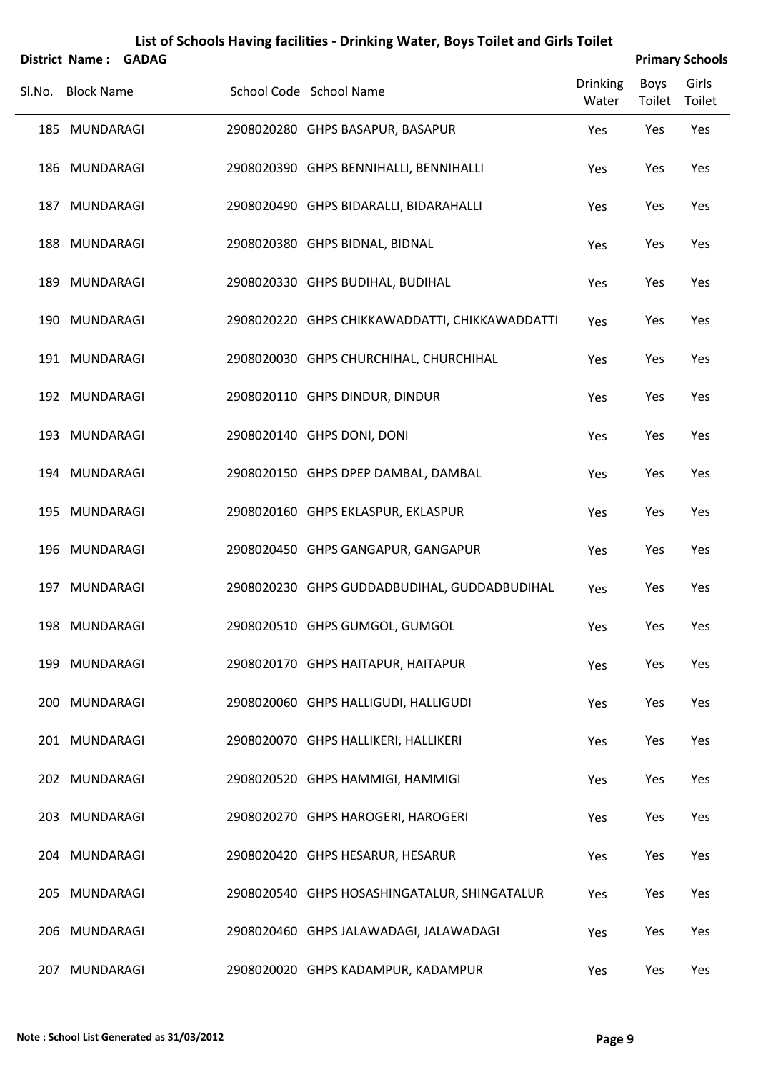| District Name: GADAG |  |                                                |                          |                | <b>Primary Schools</b> |
|----------------------|--|------------------------------------------------|--------------------------|----------------|------------------------|
| Sl.No. Block Name    |  | School Code School Name                        | <b>Drinking</b><br>Water | Boys<br>Toilet | Girls<br>Toilet        |
| 185 MUNDARAGI        |  | 2908020280 GHPS BASAPUR, BASAPUR               | Yes                      | Yes            | Yes                    |
| 186 MUNDARAGI        |  | 2908020390 GHPS BENNIHALLI, BENNIHALLI         | Yes                      | Yes            | Yes                    |
| 187 MUNDARAGI        |  | 2908020490 GHPS BIDARALLI, BIDARAHALLI         | Yes                      | Yes            | Yes                    |
| 188 MUNDARAGI        |  | 2908020380 GHPS BIDNAL, BIDNAL                 | Yes                      | Yes            | Yes                    |
| 189 MUNDARAGI        |  | 2908020330 GHPS BUDIHAL, BUDIHAL               | Yes                      | Yes            | Yes                    |
| 190 MUNDARAGI        |  | 2908020220 GHPS CHIKKAWADDATTI, CHIKKAWADDATTI | Yes                      | Yes            | Yes                    |
| 191 MUNDARAGI        |  | 2908020030 GHPS CHURCHIHAL, CHURCHIHAL         | Yes                      | Yes            | Yes                    |
| 192 MUNDARAGI        |  | 2908020110 GHPS DINDUR, DINDUR                 | Yes                      | Yes            | Yes                    |
| 193 MUNDARAGI        |  | 2908020140 GHPS DONI, DONI                     | Yes                      | Yes            | Yes                    |
| 194 MUNDARAGI        |  | 2908020150 GHPS DPEP DAMBAL, DAMBAL            | Yes                      | Yes            | Yes                    |
| 195 MUNDARAGI        |  | 2908020160 GHPS EKLASPUR, EKLASPUR             | Yes                      | Yes            | Yes                    |
| 196 MUNDARAGI        |  | 2908020450 GHPS GANGAPUR, GANGAPUR             | Yes                      | Yes            | Yes                    |
| 197 MUNDARAGI        |  | 2908020230 GHPS GUDDADBUDIHAL, GUDDADBUDIHAL   | Yes                      | Yes            | Yes                    |
| 198 MUNDARAGI        |  | 2908020510 GHPS GUMGOL, GUMGOL                 | Yes                      | Yes            | Yes                    |
| 199 MUNDARAGI        |  | 2908020170 GHPS HAITAPUR, HAITAPUR             | Yes                      | Yes            | Yes                    |
| 200 MUNDARAGI        |  | 2908020060 GHPS HALLIGUDI, HALLIGUDI           | Yes                      | Yes            | Yes                    |
| 201 MUNDARAGI        |  | 2908020070 GHPS HALLIKERI, HALLIKERI           | Yes                      | Yes            | Yes                    |
| 202 MUNDARAGI        |  | 2908020520 GHPS HAMMIGI, HAMMIGI               | Yes                      | Yes            | Yes                    |
| 203 MUNDARAGI        |  | 2908020270 GHPS HAROGERI, HAROGERI             | Yes                      | Yes            | Yes                    |
| 204 MUNDARAGI        |  | 2908020420 GHPS HESARUR, HESARUR               | Yes                      | Yes            | Yes                    |
| 205 MUNDARAGI        |  | 2908020540 GHPS HOSASHINGATALUR, SHINGATALUR   | Yes                      | Yes            | Yes                    |
| 206 MUNDARAGI        |  | 2908020460 GHPS JALAWADAGI, JALAWADAGI         | Yes                      | Yes            | Yes                    |
| 207 MUNDARAGI        |  | 2908020020 GHPS KADAMPUR, KADAMPUR             | Yes                      | Yes            | Yes                    |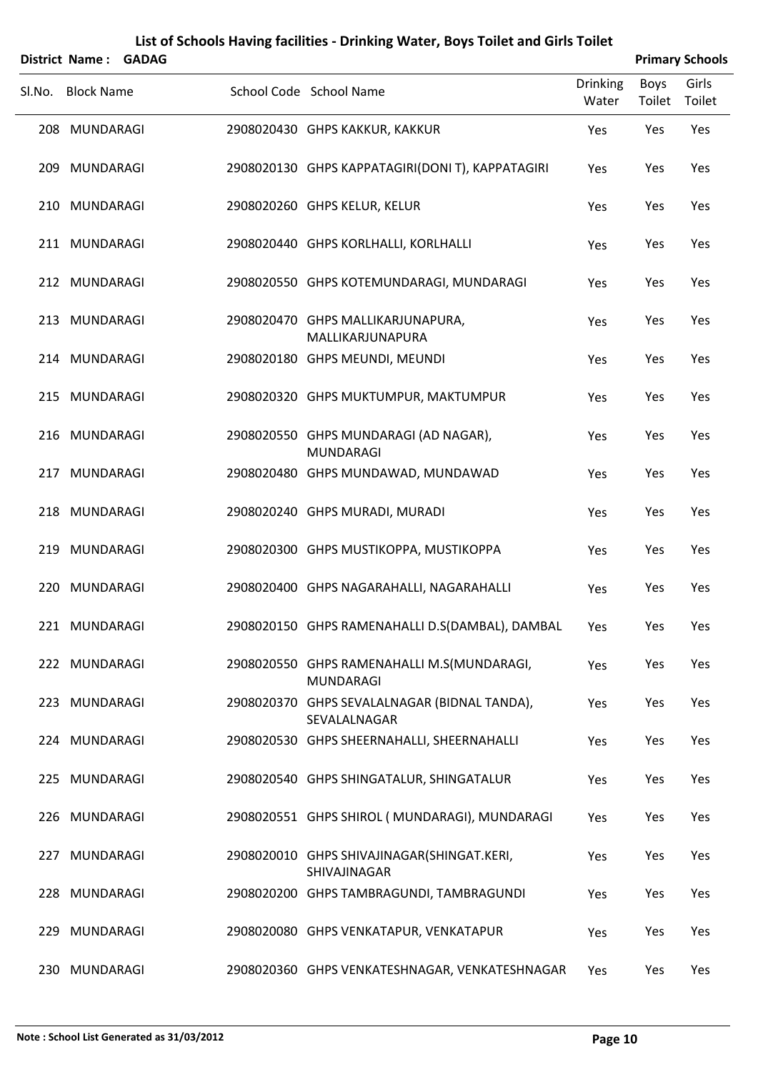|        | <b>District Name:</b> | <b>GADAG</b> |                                                                |                   |                       | <b>Primary Schools</b> |
|--------|-----------------------|--------------|----------------------------------------------------------------|-------------------|-----------------------|------------------------|
| Sl.No. | <b>Block Name</b>     |              | School Code School Name                                        | Drinking<br>Water | Boys<br>Toilet Toilet | Girls                  |
|        | 208 MUNDARAGI         |              | 2908020430 GHPS KAKKUR, KAKKUR                                 | Yes               | Yes                   | Yes                    |
|        | 209 MUNDARAGI         |              | 2908020130 GHPS KAPPATAGIRI(DONI T), KAPPATAGIRI               | Yes               | Yes                   | Yes                    |
|        | 210 MUNDARAGI         |              | 2908020260 GHPS KELUR, KELUR                                   | Yes               | Yes                   | Yes                    |
|        | 211 MUNDARAGI         |              | 2908020440 GHPS KORLHALLI, KORLHALLI                           | Yes               | Yes                   | Yes                    |
|        | 212 MUNDARAGI         |              | 2908020550 GHPS KOTEMUNDARAGI, MUNDARAGI                       | Yes               | Yes                   | Yes                    |
|        | 213 MUNDARAGI         |              | 2908020470 GHPS MALLIKARJUNAPURA,<br>MALLIKARJUNAPURA          | Yes               | Yes                   | Yes                    |
|        | 214 MUNDARAGI         |              | 2908020180 GHPS MEUNDI, MEUNDI                                 | Yes               | Yes                   | Yes                    |
|        | 215 MUNDARAGI         |              | 2908020320 GHPS MUKTUMPUR, MAKTUMPUR                           | Yes               | Yes                   | Yes                    |
|        | 216 MUNDARAGI         |              | 2908020550 GHPS MUNDARAGI (AD NAGAR),<br><b>MUNDARAGI</b>      | Yes               | Yes                   | Yes                    |
|        | 217 MUNDARAGI         |              | 2908020480 GHPS MUNDAWAD, MUNDAWAD                             | Yes               | Yes                   | Yes                    |
|        | 218 MUNDARAGI         |              | 2908020240 GHPS MURADI, MURADI                                 | Yes               | Yes                   | Yes                    |
|        | 219 MUNDARAGI         |              | 2908020300 GHPS MUSTIKOPPA, MUSTIKOPPA                         | Yes               | Yes                   | Yes                    |
|        | 220 MUNDARAGI         |              | 2908020400 GHPS NAGARAHALLI, NAGARAHALLI                       | Yes               | Yes                   | Yes                    |
|        | 221 MUNDARAGI         |              | 2908020150 GHPS RAMENAHALLI D.S(DAMBAL), DAMBAL                | Yes               | Yes                   | Yes                    |
|        | 222 MUNDARAGI         |              | 2908020550 GHPS RAMENAHALLI M.S(MUNDARAGI,<br><b>MUNDARAGI</b> | Yes               | Yes                   | Yes                    |
|        | 223 MUNDARAGI         |              | 2908020370 GHPS SEVALALNAGAR (BIDNAL TANDA),<br>SEVALALNAGAR   | Yes               | Yes                   | Yes                    |
|        | 224 MUNDARAGI         |              | 2908020530 GHPS SHEERNAHALLI, SHEERNAHALLI                     | Yes               | Yes                   | Yes                    |
|        | 225 MUNDARAGI         |              | 2908020540 GHPS SHINGATALUR, SHINGATALUR                       | Yes               | Yes                   | Yes                    |
|        | 226 MUNDARAGI         |              | 2908020551 GHPS SHIROL (MUNDARAGI), MUNDARAGI                  | Yes               | Yes                   | Yes                    |
| 227    | MUNDARAGI             |              | 2908020010 GHPS SHIVAJINAGAR(SHINGAT.KERI,<br>SHIVAJINAGAR     | Yes               | Yes                   | Yes                    |
|        | 228 MUNDARAGI         |              | 2908020200 GHPS TAMBRAGUNDI, TAMBRAGUNDI                       | Yes               | Yes                   | Yes                    |
|        | 229 MUNDARAGI         |              | 2908020080 GHPS VENKATAPUR, VENKATAPUR                         | Yes               | Yes                   | Yes                    |
|        | 230 MUNDARAGI         |              | 2908020360 GHPS VENKATESHNAGAR, VENKATESHNAGAR                 | Yes               | Yes                   | Yes                    |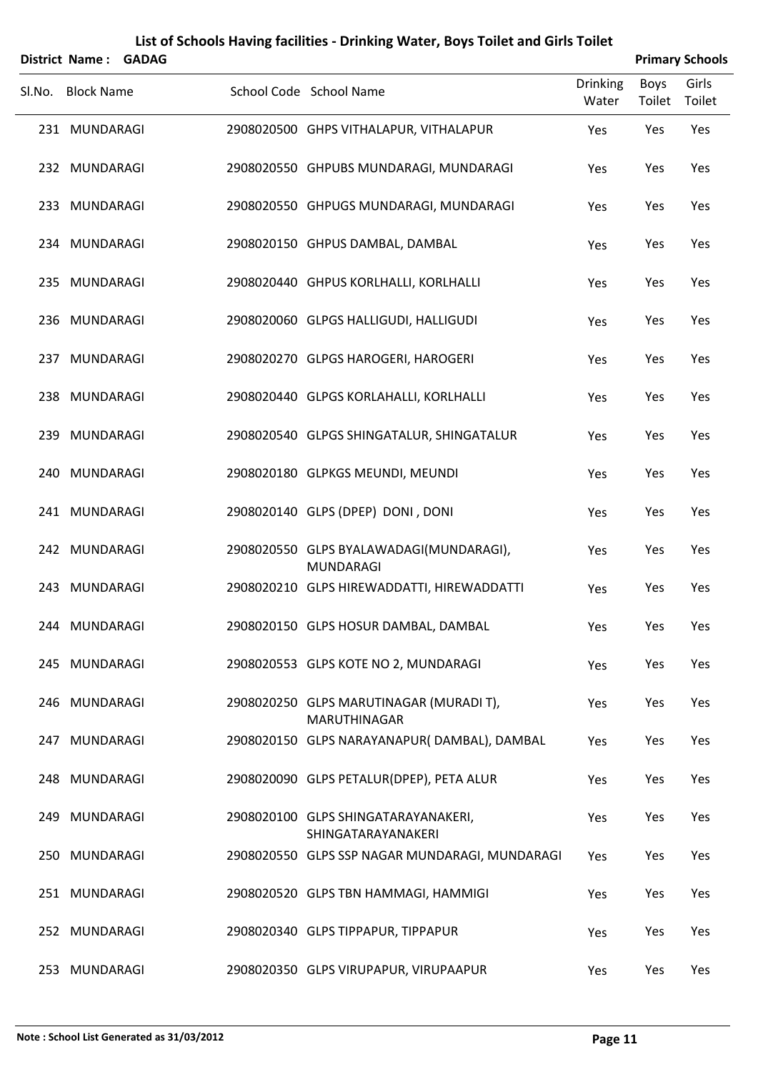|        | <b>District Name:</b> | <b>GADAG</b> |                                                             |                          |                       | <b>Primary Schools</b> |
|--------|-----------------------|--------------|-------------------------------------------------------------|--------------------------|-----------------------|------------------------|
| Sl.No. | <b>Block Name</b>     |              | School Code School Name                                     | <b>Drinking</b><br>Water | <b>Boys</b><br>Toilet | Girls<br>Toilet        |
|        | 231 MUNDARAGI         |              | 2908020500 GHPS VITHALAPUR, VITHALAPUR                      | Yes                      | Yes                   | Yes                    |
|        | 232 MUNDARAGI         |              | 2908020550 GHPUBS MUNDARAGI, MUNDARAGI                      | Yes                      | Yes                   | Yes                    |
|        | 233 MUNDARAGI         |              | 2908020550 GHPUGS MUNDARAGI, MUNDARAGI                      | Yes                      | Yes                   | Yes                    |
|        | 234 MUNDARAGI         |              | 2908020150 GHPUS DAMBAL, DAMBAL                             | Yes                      | Yes                   | Yes                    |
|        | 235 MUNDARAGI         |              | 2908020440 GHPUS KORLHALLI, KORLHALLI                       | Yes                      | Yes                   | Yes                    |
|        | 236 MUNDARAGI         |              | 2908020060 GLPGS HALLIGUDI, HALLIGUDI                       | Yes                      | Yes                   | Yes                    |
|        | 237 MUNDARAGI         |              | 2908020270 GLPGS HAROGERI, HAROGERI                         | Yes                      | Yes                   | Yes                    |
|        | 238 MUNDARAGI         |              | 2908020440 GLPGS KORLAHALLI, KORLHALLI                      | Yes                      | Yes                   | Yes                    |
|        | 239 MUNDARAGI         |              | 2908020540 GLPGS SHINGATALUR, SHINGATALUR                   | Yes                      | Yes                   | Yes                    |
|        | 240 MUNDARAGI         |              | 2908020180 GLPKGS MEUNDI, MEUNDI                            | Yes                      | Yes                   | Yes                    |
|        | 241 MUNDARAGI         |              | 2908020140 GLPS (DPEP) DONI, DONI                           | Yes                      | Yes                   | Yes                    |
|        | 242 MUNDARAGI         |              | 2908020550 GLPS BYALAWADAGI(MUNDARAGI),<br><b>MUNDARAGI</b> | Yes                      | Yes                   | Yes                    |
| 243    | MUNDARAGI             |              | 2908020210 GLPS HIREWADDATTI, HIREWADDATTI                  | Yes                      | Yes                   | Yes                    |
|        | 244 MUNDARAGI         |              | 2908020150 GLPS HOSUR DAMBAL, DAMBAL                        | Yes                      | Yes                   | Yes                    |
|        | 245 MUNDARAGI         |              | 2908020553 GLPS KOTE NO 2, MUNDARAGI                        | Yes                      | Yes                   | Yes                    |
|        | 246 MUNDARAGI         |              | 2908020250 GLPS MARUTINAGAR (MURADI T),<br>MARUTHINAGAR     | Yes                      | Yes                   | Yes                    |
|        | 247 MUNDARAGI         |              | 2908020150 GLPS NARAYANAPUR(DAMBAL), DAMBAL                 | Yes                      | Yes                   | Yes                    |
|        | 248 MUNDARAGI         |              | 2908020090 GLPS PETALUR(DPEP), PETA ALUR                    | Yes                      | Yes                   | Yes                    |
|        | 249 MUNDARAGI         |              | 2908020100 GLPS SHINGATARAYANAKERI,<br>SHINGATARAYANAKERI   | Yes                      | Yes                   | Yes                    |
|        | 250 MUNDARAGI         |              | 2908020550 GLPS SSP NAGAR MUNDARAGI, MUNDARAGI              | Yes                      | Yes                   | Yes                    |
|        | 251 MUNDARAGI         |              | 2908020520 GLPS TBN HAMMAGI, HAMMIGI                        | Yes                      | Yes                   | Yes                    |
|        | 252 MUNDARAGI         |              | 2908020340 GLPS TIPPAPUR, TIPPAPUR                          | Yes                      | Yes                   | Yes                    |
|        | 253 MUNDARAGI         |              | 2908020350 GLPS VIRUPAPUR, VIRUPAAPUR                       | Yes                      | Yes                   | Yes                    |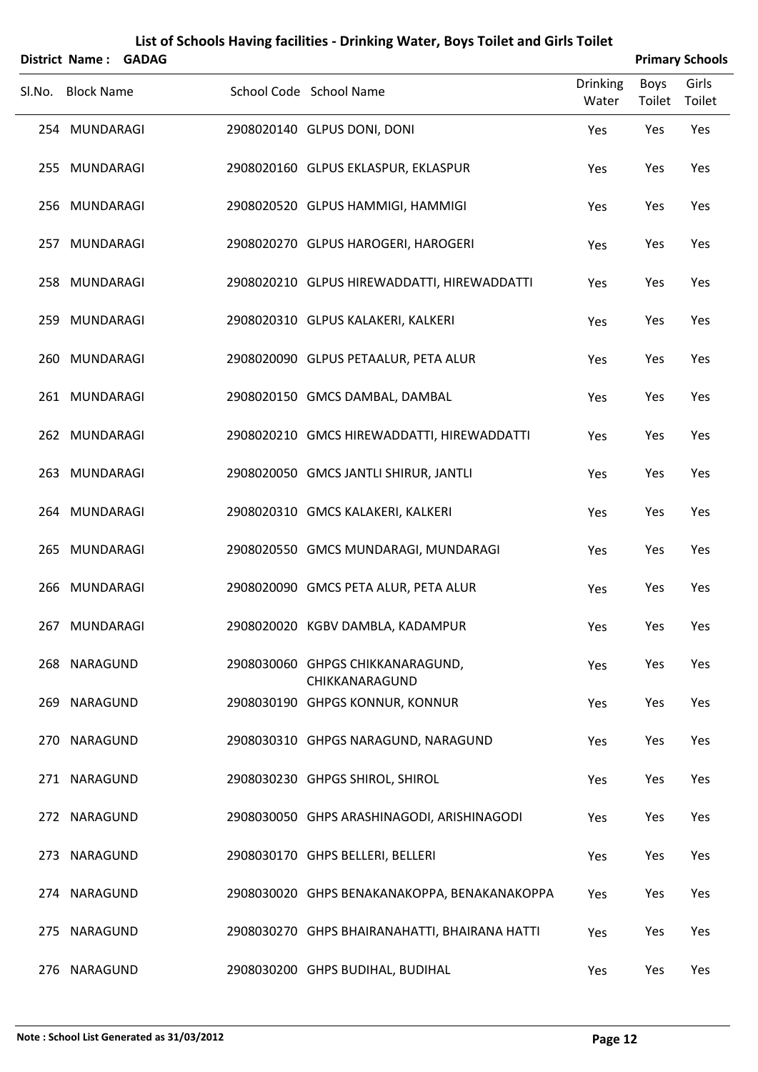|        | District Name: GADAG |  |                                                    |                          |                | <b>Primary Schools</b> |
|--------|----------------------|--|----------------------------------------------------|--------------------------|----------------|------------------------|
| Sl.No. | <b>Block Name</b>    |  | School Code School Name                            | <b>Drinking</b><br>Water | Boys<br>Toilet | Girls<br>Toilet        |
|        | 254 MUNDARAGI        |  | 2908020140 GLPUS DONI, DONI                        | Yes                      | Yes            | Yes                    |
|        | 255 MUNDARAGI        |  | 2908020160 GLPUS EKLASPUR, EKLASPUR                | Yes                      | Yes            | Yes                    |
|        | 256 MUNDARAGI        |  | 2908020520 GLPUS HAMMIGI, HAMMIGI                  | Yes                      | Yes            | Yes                    |
|        | 257 MUNDARAGI        |  | 2908020270 GLPUS HAROGERI, HAROGERI                | Yes                      | Yes            | Yes                    |
|        | 258 MUNDARAGI        |  | 2908020210 GLPUS HIREWADDATTI, HIREWADDATTI        | Yes                      | Yes            | Yes                    |
|        | 259 MUNDARAGI        |  | 2908020310 GLPUS KALAKERI, KALKERI                 | Yes                      | Yes            | Yes                    |
| 260    | MUNDARAGI            |  | 2908020090 GLPUS PETAALUR, PETA ALUR               | Yes                      | Yes            | Yes                    |
|        | 261 MUNDARAGI        |  | 2908020150 GMCS DAMBAL, DAMBAL                     | Yes                      | Yes            | Yes                    |
|        | 262 MUNDARAGI        |  | 2908020210 GMCS HIREWADDATTI, HIREWADDATTI         | Yes                      | Yes            | Yes                    |
|        | 263 MUNDARAGI        |  | 2908020050 GMCS JANTLI SHIRUR, JANTLI              | Yes                      | Yes            | Yes                    |
| 264    | MUNDARAGI            |  | 2908020310 GMCS KALAKERI, KALKERI                  | Yes                      | Yes            | Yes                    |
|        | 265 MUNDARAGI        |  | 2908020550 GMCS MUNDARAGI, MUNDARAGI               | Yes                      | Yes            | Yes                    |
|        | 266 MUNDARAGI        |  | 2908020090 GMCS PETA ALUR, PETA ALUR               | Yes                      | Yes            | Yes                    |
|        | 267 MUNDARAGI        |  | 2908020020 KGBV DAMBLA, KADAMPUR                   | Yes                      | Yes            | Yes                    |
|        | 268 NARAGUND         |  | 2908030060 GHPGS CHIKKANARAGUND,<br>CHIKKANARAGUND | Yes                      | Yes            | Yes                    |
|        | 269 NARAGUND         |  | 2908030190 GHPGS KONNUR, KONNUR                    | Yes                      | Yes            | Yes                    |
|        | 270 NARAGUND         |  | 2908030310 GHPGS NARAGUND, NARAGUND                | Yes                      | Yes            | Yes                    |
|        | 271 NARAGUND         |  | 2908030230 GHPGS SHIROL, SHIROL                    | Yes                      | Yes            | Yes                    |
|        | 272 NARAGUND         |  | 2908030050 GHPS ARASHINAGODI, ARISHINAGODI         | Yes                      | Yes            | Yes                    |
|        | 273 NARAGUND         |  | 2908030170 GHPS BELLERI, BELLERI                   | Yes                      | Yes            | Yes                    |
|        | 274 NARAGUND         |  | 2908030020 GHPS BENAKANAKOPPA, BENAKANAKOPPA       | Yes                      | Yes            | Yes                    |
|        | 275 NARAGUND         |  | 2908030270 GHPS BHAIRANAHATTI, BHAIRANA HATTI      | Yes                      | Yes            | Yes                    |
|        | 276 NARAGUND         |  | 2908030200 GHPS BUDIHAL, BUDIHAL                   | Yes                      | Yes            | Yes                    |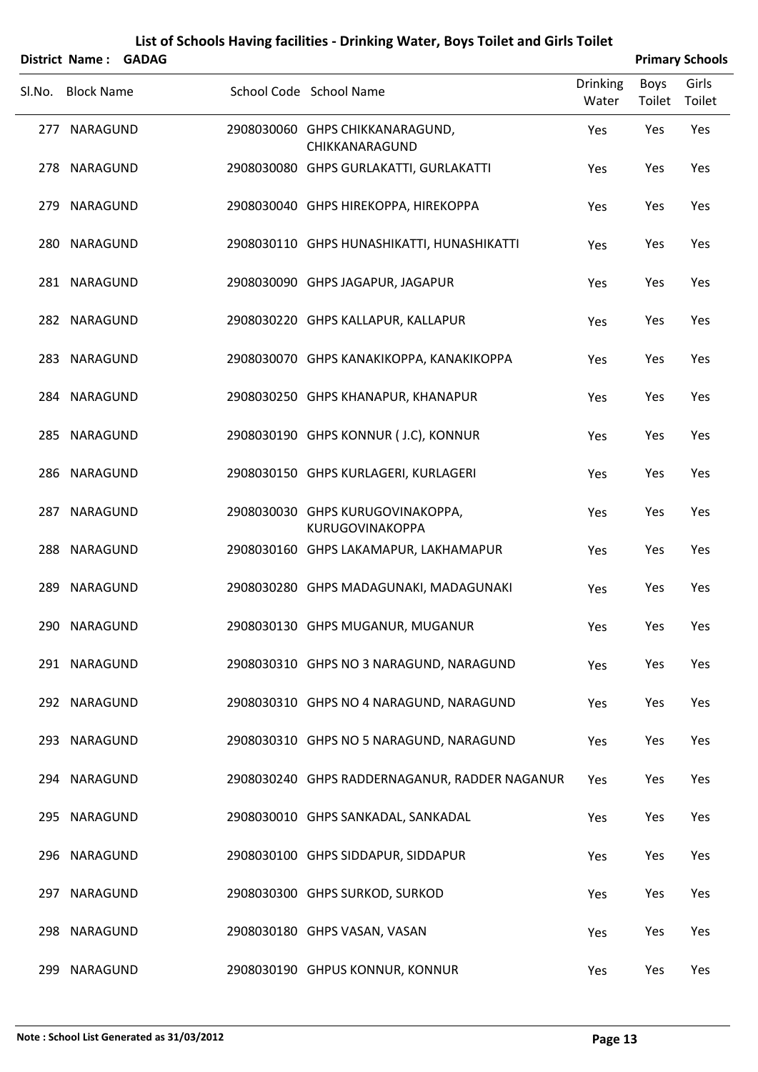|        | District Name: GADAG |  |                                                     |                          |                | <b>Primary Schools</b> |
|--------|----------------------|--|-----------------------------------------------------|--------------------------|----------------|------------------------|
| SI.No. | <b>Block Name</b>    |  | School Code School Name                             | <b>Drinking</b><br>Water | Boys<br>Toilet | Girls<br>Toilet        |
|        | 277 NARAGUND         |  | 2908030060 GHPS CHIKKANARAGUND,<br>CHIKKANARAGUND   | Yes                      | Yes            | Yes                    |
|        | 278 NARAGUND         |  | 2908030080 GHPS GURLAKATTI, GURLAKATTI              | Yes                      | Yes            | Yes                    |
|        | 279 NARAGUND         |  | 2908030040 GHPS HIREKOPPA, HIREKOPPA                | Yes                      | Yes            | Yes                    |
|        | 280 NARAGUND         |  | 2908030110 GHPS HUNASHIKATTI, HUNASHIKATTI          | Yes                      | Yes            | Yes                    |
|        | 281 NARAGUND         |  | 2908030090 GHPS JAGAPUR, JAGAPUR                    | Yes                      | Yes            | Yes                    |
|        | 282 NARAGUND         |  | 2908030220 GHPS KALLAPUR, KALLAPUR                  | Yes                      | Yes            | Yes                    |
|        | 283 NARAGUND         |  | 2908030070 GHPS KANAKIKOPPA, KANAKIKOPPA            | Yes                      | Yes            | Yes                    |
|        | 284 NARAGUND         |  | 2908030250 GHPS KHANAPUR, KHANAPUR                  | Yes                      | Yes            | Yes                    |
|        | 285 NARAGUND         |  | 2908030190 GHPS KONNUR (J.C), KONNUR                | Yes                      | Yes            | Yes                    |
|        | 286 NARAGUND         |  | 2908030150 GHPS KURLAGERI, KURLAGERI                | Yes                      | Yes            | Yes                    |
| 287    | NARAGUND             |  | 2908030030 GHPS KURUGOVINAKOPPA,<br>KURUGOVINAKOPPA | Yes                      | Yes            | Yes                    |
|        | 288 NARAGUND         |  | 2908030160 GHPS LAKAMAPUR, LAKHAMAPUR               | Yes                      | Yes            | Yes                    |
| 289    | NARAGUND             |  | 2908030280 GHPS MADAGUNAKI, MADAGUNAKI              | Yes                      | Yes            | Yes                    |
|        | 290 NARAGUND         |  | 2908030130 GHPS MUGANUR, MUGANUR                    | Yes                      | Yes            | Yes                    |
|        | 291 NARAGUND         |  | 2908030310 GHPS NO 3 NARAGUND, NARAGUND             | Yes                      | Yes            | Yes                    |
|        | 292 NARAGUND         |  | 2908030310 GHPS NO 4 NARAGUND, NARAGUND             | Yes                      | Yes            | Yes                    |
|        | 293 NARAGUND         |  | 2908030310 GHPS NO 5 NARAGUND, NARAGUND             | Yes                      | Yes            | Yes                    |
|        | 294 NARAGUND         |  | 2908030240 GHPS RADDERNAGANUR, RADDER NAGANUR       | Yes                      | Yes            | Yes                    |
|        | 295 NARAGUND         |  | 2908030010 GHPS SANKADAL, SANKADAL                  | Yes                      | Yes            | Yes                    |
|        | 296 NARAGUND         |  | 2908030100 GHPS SIDDAPUR, SIDDAPUR                  | Yes                      | Yes            | Yes                    |
|        | 297 NARAGUND         |  | 2908030300 GHPS SURKOD, SURKOD                      | Yes                      | Yes            | Yes                    |
|        | 298 NARAGUND         |  | 2908030180 GHPS VASAN, VASAN                        | Yes                      | Yes            | Yes                    |
| 299    | NARAGUND             |  | 2908030190 GHPUS KONNUR, KONNUR                     | Yes                      | Yes            | Yes                    |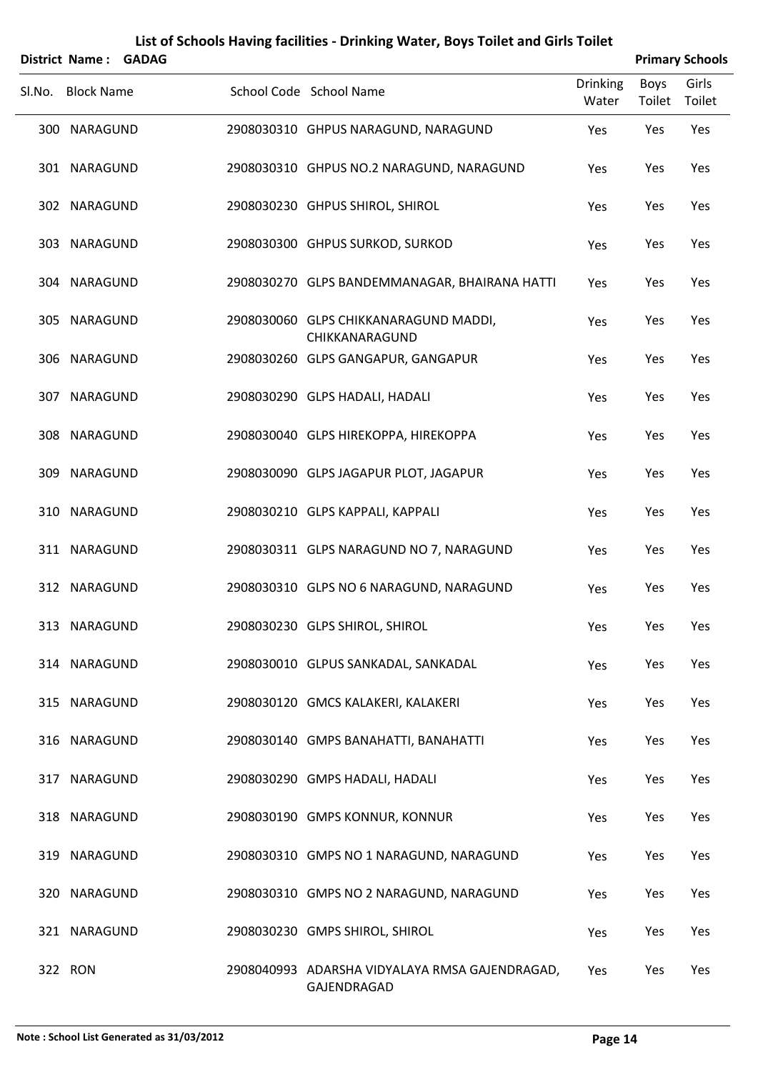|        |                       |              | List of Schools Having facilities - Drinking Water, Boys Toilet and Girls Toilet |                          |                |                        |
|--------|-----------------------|--------------|----------------------------------------------------------------------------------|--------------------------|----------------|------------------------|
|        | <b>District Name:</b> | <b>GADAG</b> |                                                                                  |                          |                | <b>Primary Schools</b> |
| SI.No. | <b>Block Name</b>     |              | School Code School Name                                                          | <b>Drinking</b><br>Water | Boys<br>Toilet | Girls<br>Toilet        |
| 300    | NARAGUND              |              | 2908030310 GHPUS NARAGUND, NARAGUND                                              | Yes                      | Yes            | Yes                    |
|        | 301 NARAGUND          |              | 2908030310 GHPUS NO.2 NARAGUND, NARAGUND                                         | Yes                      | Yes            | Yes                    |
|        | 302 NARAGUND          |              | 2908030230 GHPUS SHIROL, SHIROL                                                  | Yes                      | Yes            | Yes                    |
|        | 303 NARAGUND          |              | 2908030300 GHPUS SURKOD, SURKOD                                                  | Yes                      | Yes            | Yes                    |
|        | 304 NARAGUND          |              | 2908030270 GLPS BANDEMMANAGAR, BHAIRANA HATTI                                    | Yes                      | Yes            | Yes                    |
|        | 305 NARAGUND          |              | 2908030060 GLPS CHIKKANARAGUND MADDI,<br>CHIKKANARAGUND                          | Yes                      | Yes            | Yes                    |
|        | 306 NARAGUND          |              | 2908030260 GLPS GANGAPUR, GANGAPUR                                               | Yes                      | Yes            | Yes                    |
|        | 307 NARAGUND          |              | 2908030290 GLPS HADALI, HADALI                                                   | Yes                      | Yes            | Yes                    |
| 308    | NARAGUND              |              | 2908030040 GLPS HIREKOPPA, HIREKOPPA                                             | Yes                      | Yes            | Yes                    |
| 309    | NARAGUND              |              | 2908030090 GLPS JAGAPUR PLOT, JAGAPUR                                            | Yes                      | Yes            | Yes                    |
| 310    | NARAGUND              |              | 2908030210 GLPS KAPPALI, KAPPALI                                                 | Yes                      | Yes            | Yes                    |
|        | 311 NARAGUND          |              | 2908030311 GLPS NARAGUND NO 7, NARAGUND                                          | Yes                      | Yes            | Yes                    |
|        | 312 NARAGUND          |              | 2908030310 GLPS NO 6 NARAGUND, NARAGUND                                          | Yes                      | Yes            | Yes                    |
|        | 313 NARAGUND          |              | 2908030230 GLPS SHIROL, SHIROL                                                   | Yes                      | Yes            | Yes                    |
|        | 314 NARAGUND          |              | 2908030010 GLPUS SANKADAL, SANKADAL                                              | Yes                      | Yes            | Yes                    |
|        | 315 NARAGUND          |              | 2908030120 GMCS KALAKERI, KALAKERI                                               | Yes                      | Yes            | Yes                    |
|        | 316 NARAGUND          |              | 2908030140 GMPS BANAHATTI, BANAHATTI                                             | Yes                      | Yes            | Yes                    |
|        | 317 NARAGUND          |              | 2908030290 GMPS HADALI, HADALI                                                   | Yes                      | Yes            | Yes                    |
|        | 318 NARAGUND          |              | 2908030190 GMPS KONNUR, KONNUR                                                   | Yes                      | Yes            | Yes                    |
|        | 319 NARAGUND          |              | 2908030310 GMPS NO 1 NARAGUND, NARAGUND                                          | Yes                      | Yes            | Yes                    |
|        | 320 NARAGUND          |              | 2908030310 GMPS NO 2 NARAGUND, NARAGUND                                          | Yes                      | Yes            | Yes                    |
|        | 321 NARAGUND          |              | 2908030230 GMPS SHIROL, SHIROL                                                   | Yes                      | Yes            | Yes                    |
|        | 322 RON               |              | 2908040993 ADARSHA VIDYALAYA RMSA GAJENDRAGAD,<br>GAJENDRAGAD                    | Yes                      | Yes            | Yes                    |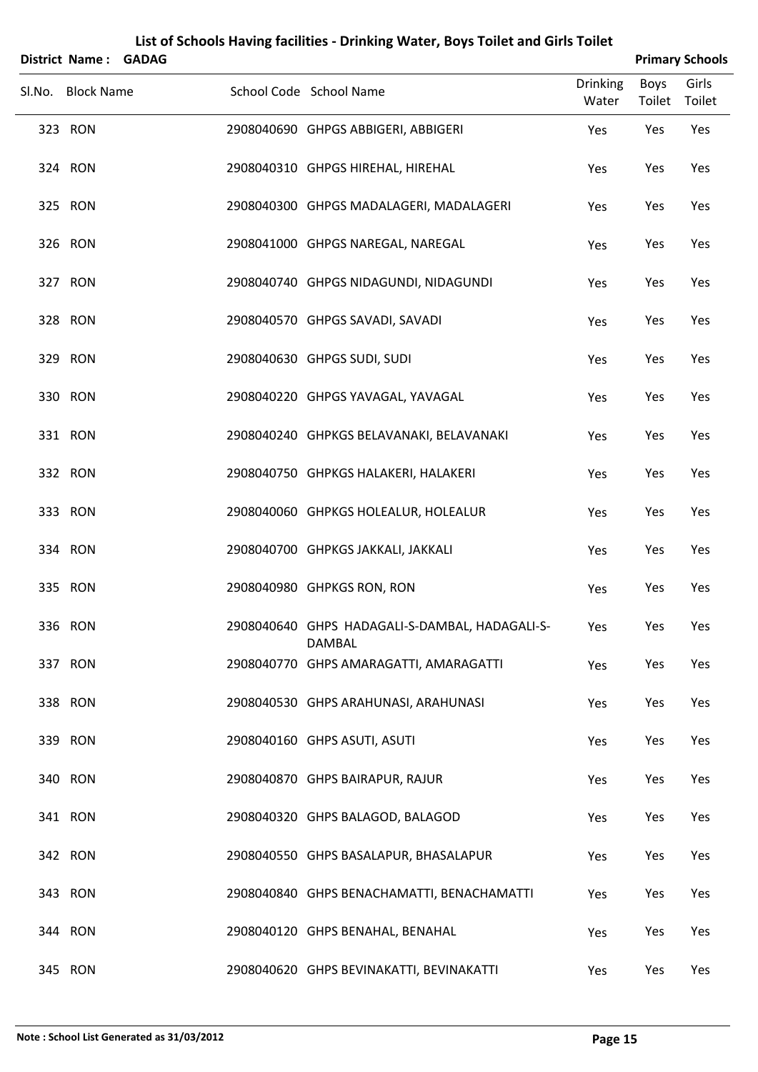| District Name: GADAG |  |                                                          |                   |                | <b>Primary Schools</b> |
|----------------------|--|----------------------------------------------------------|-------------------|----------------|------------------------|
| Sl.No. Block Name    |  | School Code School Name                                  | Drinking<br>Water | Boys<br>Toilet | Girls<br>Toilet        |
| 323 RON              |  | 2908040690 GHPGS ABBIGERI, ABBIGERI                      | Yes               | Yes            | Yes                    |
| 324 RON              |  | 2908040310 GHPGS HIREHAL, HIREHAL                        | Yes               | Yes            | Yes                    |
| 325 RON              |  | 2908040300 GHPGS MADALAGERI, MADALAGERI                  | Yes               | Yes            | Yes                    |
| 326 RON              |  | 2908041000 GHPGS NAREGAL, NAREGAL                        | Yes               | Yes            | Yes                    |
| 327 RON              |  | 2908040740 GHPGS NIDAGUNDI, NIDAGUNDI                    | Yes               | Yes            | Yes                    |
| 328 RON              |  | 2908040570 GHPGS SAVADI, SAVADI                          | Yes               | Yes            | Yes                    |
| 329 RON              |  | 2908040630 GHPGS SUDI, SUDI                              | Yes               | Yes            | Yes                    |
| 330 RON              |  | 2908040220 GHPGS YAVAGAL, YAVAGAL                        | Yes               | Yes            | Yes                    |
| 331 RON              |  | 2908040240 GHPKGS BELAVANAKI, BELAVANAKI                 | Yes               | Yes            | Yes                    |
| 332 RON              |  | 2908040750 GHPKGS HALAKERI, HALAKERI                     | Yes               | Yes            | Yes                    |
| 333 RON              |  | 2908040060 GHPKGS HOLEALUR, HOLEALUR                     | Yes               | Yes            | Yes                    |
| 334 RON              |  | 2908040700 GHPKGS JAKKALI, JAKKALI                       | Yes               | Yes            | Yes                    |
| 335 RON              |  | 2908040980 GHPKGS RON, RON                               | Yes               | Yes            | Yes                    |
| 336 RON              |  | 2908040640 GHPS HADAGALI-S-DAMBAL, HADAGALI-S-<br>DAMBAL | Yes               | Yes            | Yes                    |
| 337 RON              |  | 2908040770 GHPS AMARAGATTI, AMARAGATTI                   | Yes               | Yes            | Yes                    |
| 338 RON              |  | 2908040530 GHPS ARAHUNASI, ARAHUNASI                     | Yes               | Yes            | Yes                    |
| 339 RON              |  | 2908040160 GHPS ASUTI, ASUTI                             | Yes               | Yes            | Yes                    |
| 340 RON              |  | 2908040870 GHPS BAIRAPUR, RAJUR                          | Yes               | Yes            | Yes                    |
| 341 RON              |  | 2908040320 GHPS BALAGOD, BALAGOD                         | Yes               | Yes            | Yes                    |
| 342 RON              |  | 2908040550 GHPS BASALAPUR, BHASALAPUR                    | Yes               | Yes            | Yes                    |
| 343 RON              |  | 2908040840 GHPS BENACHAMATTI, BENACHAMATTI               | Yes               | Yes            | Yes                    |
| 344 RON              |  | 2908040120 GHPS BENAHAL, BENAHAL                         | Yes               | Yes            | Yes                    |
| 345 RON              |  | 2908040620 GHPS BEVINAKATTI, BEVINAKATTI                 | Yes               | Yes            | Yes                    |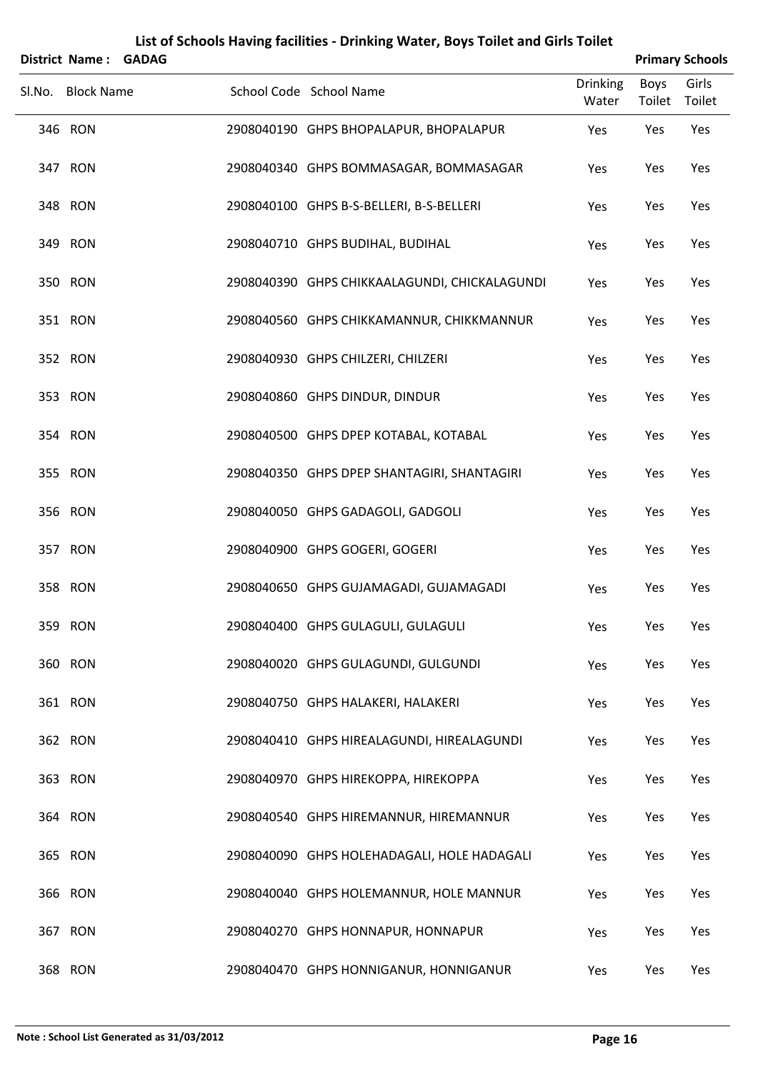| District Name: GADAG |  |                                               |                          |                | <b>Primary Schools</b> |
|----------------------|--|-----------------------------------------------|--------------------------|----------------|------------------------|
| Sl.No. Block Name    |  | School Code School Name                       | <b>Drinking</b><br>Water | Boys<br>Toilet | Girls<br>Toilet        |
| 346 RON              |  | 2908040190 GHPS BHOPALAPUR, BHOPALAPUR        | Yes                      | Yes            | Yes                    |
| 347 RON              |  | 2908040340 GHPS BOMMASAGAR, BOMMASAGAR        | Yes                      | Yes            | Yes                    |
| 348 RON              |  | 2908040100 GHPS B-S-BELLERI, B-S-BELLERI      | Yes                      | Yes            | Yes                    |
| 349 RON              |  | 2908040710 GHPS BUDIHAL, BUDIHAL              | Yes                      | Yes            | Yes                    |
| 350 RON              |  | 2908040390 GHPS CHIKKAALAGUNDI, CHICKALAGUNDI | Yes                      | Yes            | Yes                    |
| 351 RON              |  | 2908040560 GHPS CHIKKAMANNUR, CHIKKMANNUR     | Yes                      | Yes            | Yes                    |
| 352 RON              |  | 2908040930 GHPS CHILZERI, CHILZERI            | Yes                      | Yes            | Yes                    |
| 353 RON              |  | 2908040860 GHPS DINDUR, DINDUR                | Yes                      | Yes            | Yes                    |
| 354 RON              |  | 2908040500 GHPS DPEP KOTABAL, KOTABAL         | Yes                      | Yes            | Yes                    |
| 355 RON              |  | 2908040350 GHPS DPEP SHANTAGIRI, SHANTAGIRI   | Yes                      | Yes            | Yes                    |
| 356 RON              |  | 2908040050 GHPS GADAGOLI, GADGOLI             | Yes                      | Yes            | Yes                    |
| 357 RON              |  | 2908040900 GHPS GOGERI, GOGERI                | Yes                      | Yes            | Yes                    |
| 358 RON              |  | 2908040650 GHPS GUJAMAGADI, GUJAMAGADI        | Yes                      | Yes            | Yes                    |
| 359 RON              |  | 2908040400 GHPS GULAGULI, GULAGULI            | Yes                      | Yes            | Yes                    |
| 360 RON              |  | 2908040020 GHPS GULAGUNDI, GULGUNDI           | Yes                      | Yes            | Yes                    |
| 361 RON              |  | 2908040750 GHPS HALAKERI, HALAKERI            | Yes                      | Yes            | Yes                    |
| 362 RON              |  | 2908040410 GHPS HIREALAGUNDI, HIREALAGUNDI    | Yes                      | Yes            | Yes                    |
| 363 RON              |  | 2908040970 GHPS HIREKOPPA, HIREKOPPA          | Yes                      | Yes            | Yes                    |
| 364 RON              |  | 2908040540 GHPS HIREMANNUR, HIREMANNUR        | Yes                      | Yes            | Yes                    |
| 365 RON              |  | 2908040090 GHPS HOLEHADAGALI, HOLE HADAGALI   | Yes                      | Yes            | Yes                    |
| 366 RON              |  | 2908040040 GHPS HOLEMANNUR, HOLE MANNUR       | Yes                      | Yes            | Yes                    |
| 367 RON              |  | 2908040270 GHPS HONNAPUR, HONNAPUR            | Yes                      | Yes            | Yes                    |
| 368 RON              |  | 2908040470 GHPS HONNIGANUR, HONNIGANUR        | Yes                      | Yes            | Yes                    |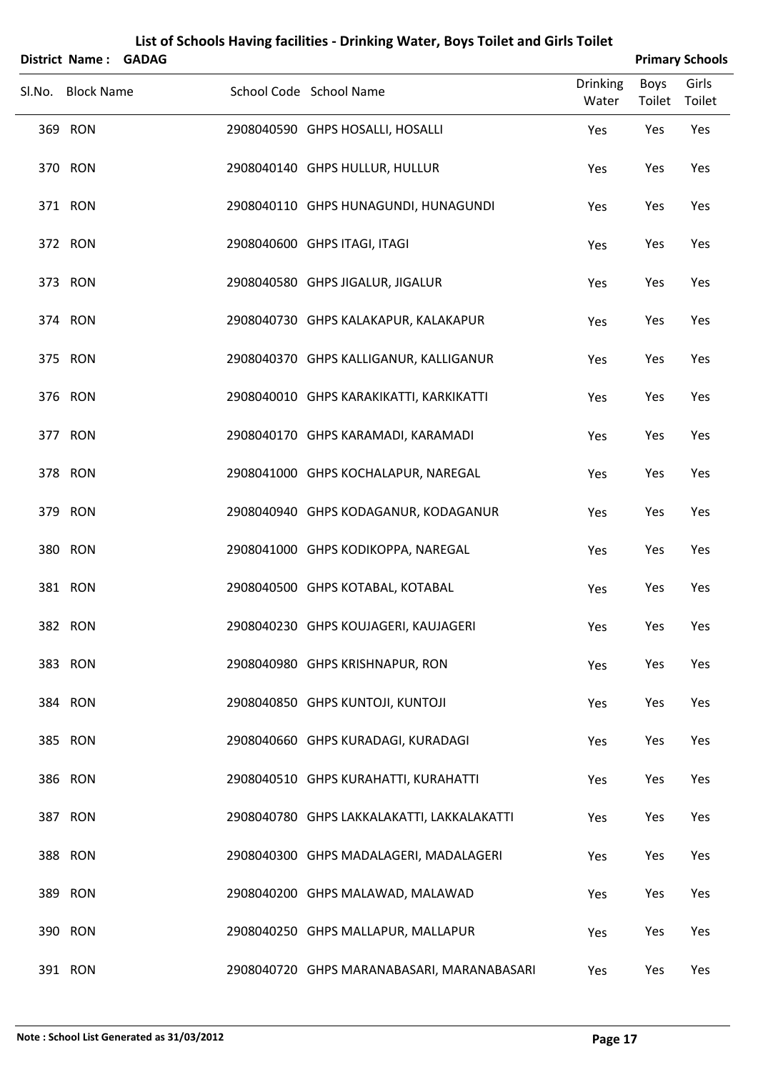| <b>District Name:</b> | <b>GADAG</b> |                                            |                          |                | <b>Primary Schools</b> |
|-----------------------|--------------|--------------------------------------------|--------------------------|----------------|------------------------|
| Sl.No. Block Name     |              | School Code School Name                    | <b>Drinking</b><br>Water | Boys<br>Toilet | Girls<br>Toilet        |
| 369 RON               |              | 2908040590 GHPS HOSALLI, HOSALLI           | Yes                      | Yes            | Yes                    |
| 370 RON               |              | 2908040140 GHPS HULLUR, HULLUR             | Yes                      | Yes            | Yes                    |
| 371 RON               |              | 2908040110 GHPS HUNAGUNDI, HUNAGUNDI       | Yes                      | Yes            | Yes                    |
| 372 RON               |              | 2908040600 GHPS ITAGI, ITAGI               | Yes                      | Yes            | Yes                    |
| 373 RON               |              | 2908040580 GHPS JIGALUR, JIGALUR           | Yes                      | Yes            | Yes                    |
| 374 RON               |              | 2908040730 GHPS KALAKAPUR, KALAKAPUR       | Yes                      | Yes            | Yes                    |
| 375 RON               |              | 2908040370 GHPS KALLIGANUR, KALLIGANUR     | Yes                      | Yes            | Yes                    |
| 376 RON               |              | 2908040010 GHPS KARAKIKATTI, KARKIKATTI    | Yes                      | Yes            | Yes                    |
| 377 RON               |              | 2908040170 GHPS KARAMADI, KARAMADI         | Yes                      | Yes            | Yes                    |
| 378 RON               |              | 2908041000 GHPS KOCHALAPUR, NAREGAL        | Yes                      | Yes            | Yes                    |
| 379 RON               |              | 2908040940 GHPS KODAGANUR, KODAGANUR       | Yes                      | Yes            | Yes                    |
| 380 RON               |              | 2908041000 GHPS KODIKOPPA, NAREGAL         | Yes                      | Yes            | Yes                    |
| 381 RON               |              | 2908040500 GHPS KOTABAL, KOTABAL           | Yes                      | Yes            | Yes                    |
| 382 RON               |              | 2908040230 GHPS KOUJAGERI, KAUJAGERI       | Yes                      | Yes            | Yes                    |
| 383 RON               |              | 2908040980 GHPS KRISHNAPUR, RON            | Yes                      | Yes            | Yes                    |
| 384 RON               |              | 2908040850 GHPS KUNTOJI, KUNTOJI           | Yes                      | Yes            | Yes                    |
| 385 RON               |              | 2908040660 GHPS KURADAGI, KURADAGI         | Yes                      | Yes            | Yes                    |
| 386 RON               |              | 2908040510 GHPS KURAHATTI, KURAHATTI       | Yes                      | Yes            | Yes                    |
| 387 RON               |              | 2908040780 GHPS LAKKALAKATTI, LAKKALAKATTI | Yes                      | Yes            | Yes                    |
| 388 RON               |              | 2908040300 GHPS MADALAGERI, MADALAGERI     | Yes                      | Yes            | Yes                    |
| 389 RON               |              | 2908040200 GHPS MALAWAD, MALAWAD           | Yes                      | Yes            | Yes                    |
| 390 RON               |              | 2908040250 GHPS MALLAPUR, MALLAPUR         | Yes                      | Yes            | Yes                    |
| 391 RON               |              | 2908040720 GHPS MARANABASARI, MARANABASARI | Yes                      | Yes            | Yes                    |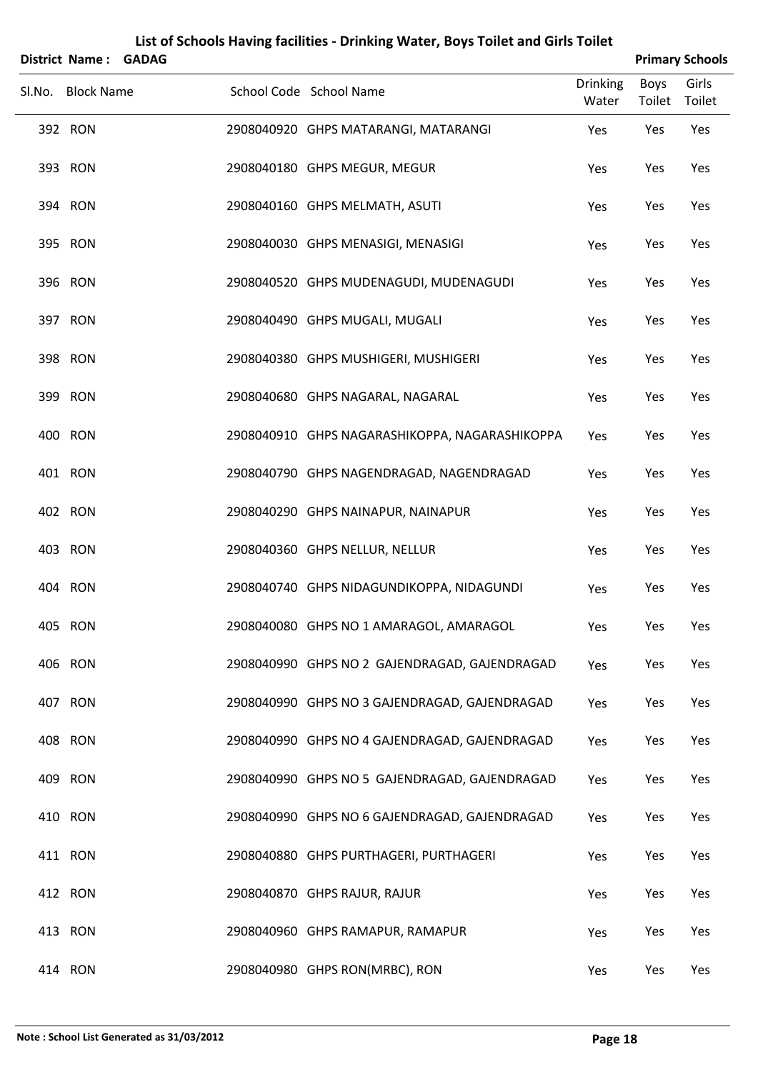| <b>District Name:</b> | <b>GADAG</b> |                                                |                          |                | <b>Primary Schools</b> |
|-----------------------|--------------|------------------------------------------------|--------------------------|----------------|------------------------|
| Sl.No. Block Name     |              | School Code School Name                        | <b>Drinking</b><br>Water | Boys<br>Toilet | Girls<br>Toilet        |
| 392 RON               |              | 2908040920 GHPS MATARANGI, MATARANGI           | Yes                      | Yes            | Yes                    |
| 393 RON               |              | 2908040180 GHPS MEGUR, MEGUR                   | Yes                      | Yes            | Yes                    |
| 394 RON               |              | 2908040160 GHPS MELMATH, ASUTI                 | Yes                      | Yes            | Yes                    |
| 395 RON               |              | 2908040030 GHPS MENASIGI, MENASIGI             | Yes                      | Yes            | Yes                    |
| 396 RON               |              | 2908040520 GHPS MUDENAGUDI, MUDENAGUDI         | Yes                      | Yes            | Yes                    |
| 397 RON               |              | 2908040490 GHPS MUGALI, MUGALI                 | Yes                      | Yes            | Yes                    |
| 398 RON               |              | 2908040380 GHPS MUSHIGERI, MUSHIGERI           | Yes                      | Yes            | Yes                    |
| 399 RON               |              | 2908040680 GHPS NAGARAL, NAGARAL               | Yes                      | Yes            | Yes                    |
| 400 RON               |              | 2908040910 GHPS NAGARASHIKOPPA, NAGARASHIKOPPA | Yes                      | Yes            | Yes                    |
| 401 RON               |              | 2908040790 GHPS NAGENDRAGAD, NAGENDRAGAD       | Yes                      | Yes            | Yes                    |
| 402 RON               |              | 2908040290 GHPS NAINAPUR, NAINAPUR             | Yes                      | Yes            | Yes                    |
| 403 RON               |              | 2908040360 GHPS NELLUR, NELLUR                 | Yes                      | Yes            | Yes                    |
| 404 RON               |              | 2908040740 GHPS NIDAGUNDIKOPPA, NIDAGUNDI      | Yes                      | Yes            | Yes                    |
| 405 RON               |              | 2908040080 GHPS NO 1 AMARAGOL, AMARAGOL        | Yes                      | Yes            | Yes                    |
| 406 RON               |              | 2908040990 GHPS NO 2 GAJENDRAGAD, GAJENDRAGAD  | Yes                      | Yes            | Yes                    |
| 407 RON               |              | 2908040990 GHPS NO 3 GAJENDRAGAD, GAJENDRAGAD  | Yes                      | Yes            | Yes                    |
| 408 RON               |              | 2908040990 GHPS NO 4 GAJENDRAGAD, GAJENDRAGAD  | Yes                      | Yes            | Yes                    |
| 409 RON               |              | 2908040990 GHPS NO 5 GAJENDRAGAD, GAJENDRAGAD  | Yes                      | Yes            | Yes                    |
| 410 RON               |              | 2908040990 GHPS NO 6 GAJENDRAGAD, GAJENDRAGAD  | Yes                      | Yes            | Yes                    |
| 411 RON               |              | 2908040880 GHPS PURTHAGERI, PURTHAGERI         | Yes                      | Yes            | Yes                    |
| 412 RON               |              | 2908040870 GHPS RAJUR, RAJUR                   | Yes                      | Yes            | Yes                    |
| 413 RON               |              | 2908040960 GHPS RAMAPUR, RAMAPUR               | Yes                      | Yes            | Yes                    |
| 414 RON               |              | 2908040980 GHPS RON(MRBC), RON                 | Yes                      | Yes            | Yes                    |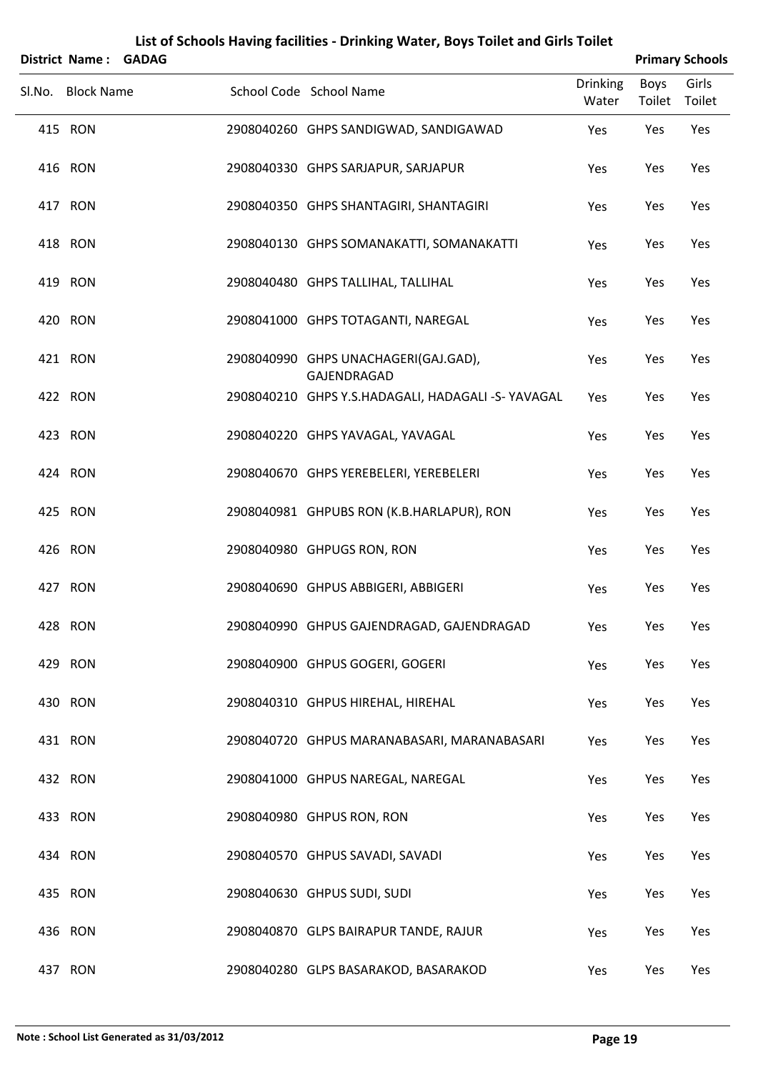| District Name: GADAG |                                                     | <b>Primary Schools</b>   |                       |                 |  |  |
|----------------------|-----------------------------------------------------|--------------------------|-----------------------|-----------------|--|--|
| Sl.No. Block Name    | School Code School Name                             | <b>Drinking</b><br>Water | <b>Boys</b><br>Toilet | Girls<br>Toilet |  |  |
| 415 RON              | 2908040260 GHPS SANDIGWAD, SANDIGAWAD               | Yes                      | Yes                   | Yes             |  |  |
| 416 RON              | 2908040330 GHPS SARJAPUR, SARJAPUR                  | Yes                      | Yes                   | Yes             |  |  |
| 417 RON              | 2908040350 GHPS SHANTAGIRI, SHANTAGIRI              | Yes                      | Yes                   | Yes             |  |  |
| 418 RON              | 2908040130 GHPS SOMANAKATTI, SOMANAKATTI            | Yes                      | Yes                   | Yes             |  |  |
| 419 RON              | 2908040480 GHPS TALLIHAL, TALLIHAL                  | Yes                      | Yes                   | Yes             |  |  |
| 420 RON              | 2908041000 GHPS TOTAGANTI, NAREGAL                  | Yes                      | Yes                   | Yes             |  |  |
| 421 RON              | 2908040990 GHPS UNACHAGERI(GAJ.GAD),<br>GAJENDRAGAD | Yes                      | Yes                   | Yes             |  |  |
| 422 RON              | 2908040210 GHPS Y.S.HADAGALI, HADAGALI -S- YAVAGAL  | Yes                      | Yes                   | Yes             |  |  |
| 423 RON              | 2908040220 GHPS YAVAGAL, YAVAGAL                    | Yes                      | Yes                   | Yes             |  |  |
| 424 RON              | 2908040670 GHPS YEREBELERI, YEREBELERI              | Yes                      | Yes                   | Yes             |  |  |
| 425 RON              | 2908040981 GHPUBS RON (K.B.HARLAPUR), RON           | Yes                      | Yes                   | Yes             |  |  |
| 426 RON              | 2908040980 GHPUGS RON, RON                          | Yes                      | Yes                   | Yes             |  |  |
| 427 RON              | 2908040690 GHPUS ABBIGERI, ABBIGERI                 | Yes                      | Yes                   | Yes             |  |  |
| 428 RON              | 2908040990 GHPUS GAJENDRAGAD, GAJENDRAGAD           | Yes                      | Yes                   | Yes             |  |  |
| 429 RON              | 2908040900 GHPUS GOGERI, GOGERI                     | Yes                      | Yes                   | Yes             |  |  |
| 430 RON              | 2908040310 GHPUS HIREHAL, HIREHAL                   | Yes                      | Yes                   | Yes             |  |  |
| 431 RON              | 2908040720 GHPUS MARANABASARI, MARANABASARI         | Yes                      | Yes                   | Yes             |  |  |
| 432 RON              | 2908041000 GHPUS NAREGAL, NAREGAL                   | Yes                      | Yes                   | Yes             |  |  |
| 433 RON              | 2908040980 GHPUS RON, RON                           | Yes                      | Yes                   | Yes             |  |  |
| 434 RON              | 2908040570 GHPUS SAVADI, SAVADI                     | Yes                      | Yes                   | Yes             |  |  |
| 435 RON              | 2908040630 GHPUS SUDI, SUDI                         | Yes                      | Yes                   | Yes             |  |  |
| 436 RON              | 2908040870 GLPS BAIRAPUR TANDE, RAJUR               | Yes                      | Yes                   | Yes             |  |  |
| 437 RON              | 2908040280 GLPS BASARAKOD, BASARAKOD                | Yes                      | Yes                   | Yes             |  |  |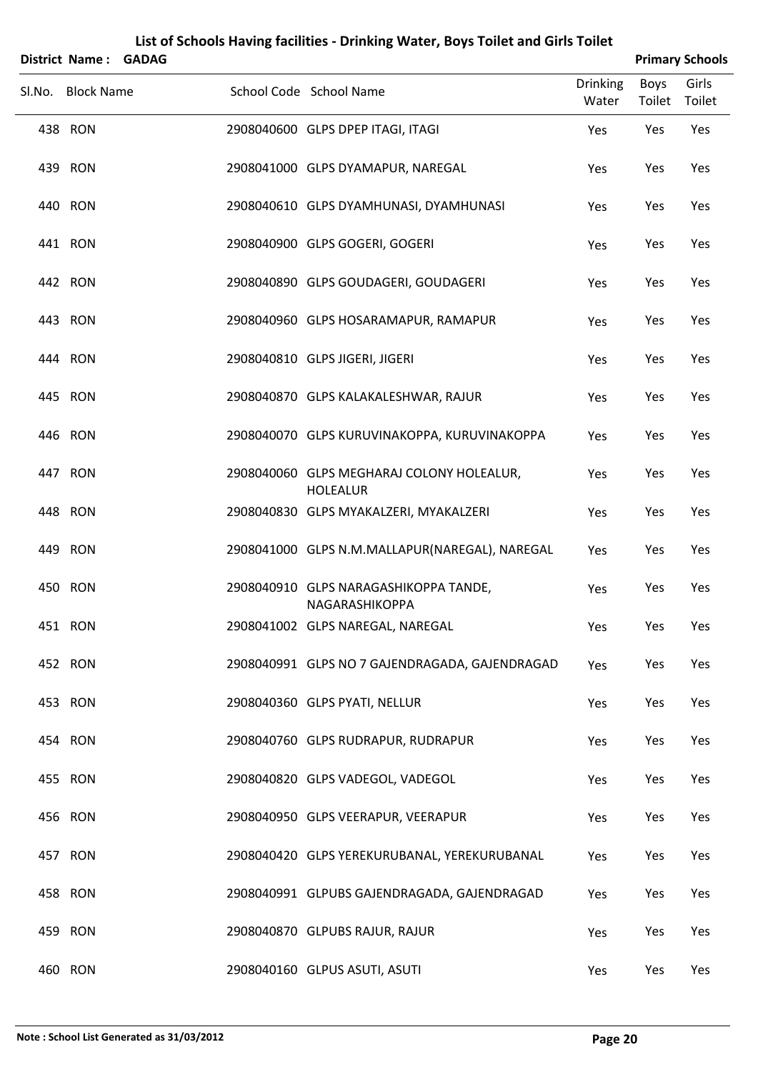| District Name: GADAG |  |                                                              |                   |                | <b>Primary Schools</b> |
|----------------------|--|--------------------------------------------------------------|-------------------|----------------|------------------------|
| Sl.No. Block Name    |  | School Code School Name                                      | Drinking<br>Water | Boys<br>Toilet | Girls<br>Toilet        |
| 438 RON              |  | 2908040600 GLPS DPEP ITAGI, ITAGI                            | Yes               | Yes            | Yes                    |
| 439 RON              |  | 2908041000 GLPS DYAMAPUR, NAREGAL                            | Yes               | Yes            | Yes                    |
| 440 RON              |  | 2908040610 GLPS DYAMHUNASI, DYAMHUNASI                       | Yes               | Yes            | Yes                    |
| 441 RON              |  | 2908040900 GLPS GOGERI, GOGERI                               | Yes               | Yes            | Yes                    |
| 442 RON              |  | 2908040890 GLPS GOUDAGERI, GOUDAGERI                         | Yes               | Yes            | Yes                    |
| 443 RON              |  | 2908040960 GLPS HOSARAMAPUR, RAMAPUR                         | Yes               | Yes            | Yes                    |
| 444 RON              |  | 2908040810 GLPS JIGERI, JIGERI                               | Yes               | Yes            | Yes                    |
| 445 RON              |  | 2908040870 GLPS KALAKALESHWAR, RAJUR                         | Yes               | Yes            | Yes                    |
| 446 RON              |  | 2908040070 GLPS KURUVINAKOPPA, KURUVINAKOPPA                 | Yes               | Yes            | Yes                    |
| 447 RON              |  | 2908040060 GLPS MEGHARAJ COLONY HOLEALUR,<br><b>HOLEALUR</b> | Yes               | Yes            | Yes                    |
| 448 RON              |  | 2908040830 GLPS MYAKALZERI, MYAKALZERI                       | Yes               | Yes            | Yes                    |
| 449 RON              |  | 2908041000 GLPS N.M.MALLAPUR(NAREGAL), NAREGAL               | Yes               | Yes            | Yes                    |
| 450 RON              |  | 2908040910 GLPS NARAGASHIKOPPA TANDE,<br>NAGARASHIKOPPA      | Yes               | Yes            | Yes                    |
| 451 RON              |  | 2908041002 GLPS NAREGAL, NAREGAL                             | Yes               | Yes            | Yes                    |
| 452 RON              |  | 2908040991 GLPS NO 7 GAJENDRAGADA, GAJENDRAGAD               | Yes               | Yes            | Yes                    |
| 453 RON              |  | 2908040360 GLPS PYATI, NELLUR                                | Yes               | Yes            | Yes                    |
| 454 RON              |  | 2908040760 GLPS RUDRAPUR, RUDRAPUR                           | Yes               | Yes            | Yes                    |
| 455 RON              |  | 2908040820 GLPS VADEGOL, VADEGOL                             | Yes               | Yes            | Yes                    |
| 456 RON              |  | 2908040950 GLPS VEERAPUR, VEERAPUR                           | Yes               | Yes            | Yes                    |
| 457 RON              |  | 2908040420 GLPS YEREKURUBANAL, YEREKURUBANAL                 | Yes               | Yes            | Yes                    |
| 458 RON              |  | 2908040991 GLPUBS GAJENDRAGADA, GAJENDRAGAD                  | Yes               | Yes            | Yes                    |
| 459 RON              |  | 2908040870 GLPUBS RAJUR, RAJUR                               | Yes               | Yes            | Yes                    |
| 460 RON              |  | 2908040160 GLPUS ASUTI, ASUTI                                | Yes               | Yes            | Yes                    |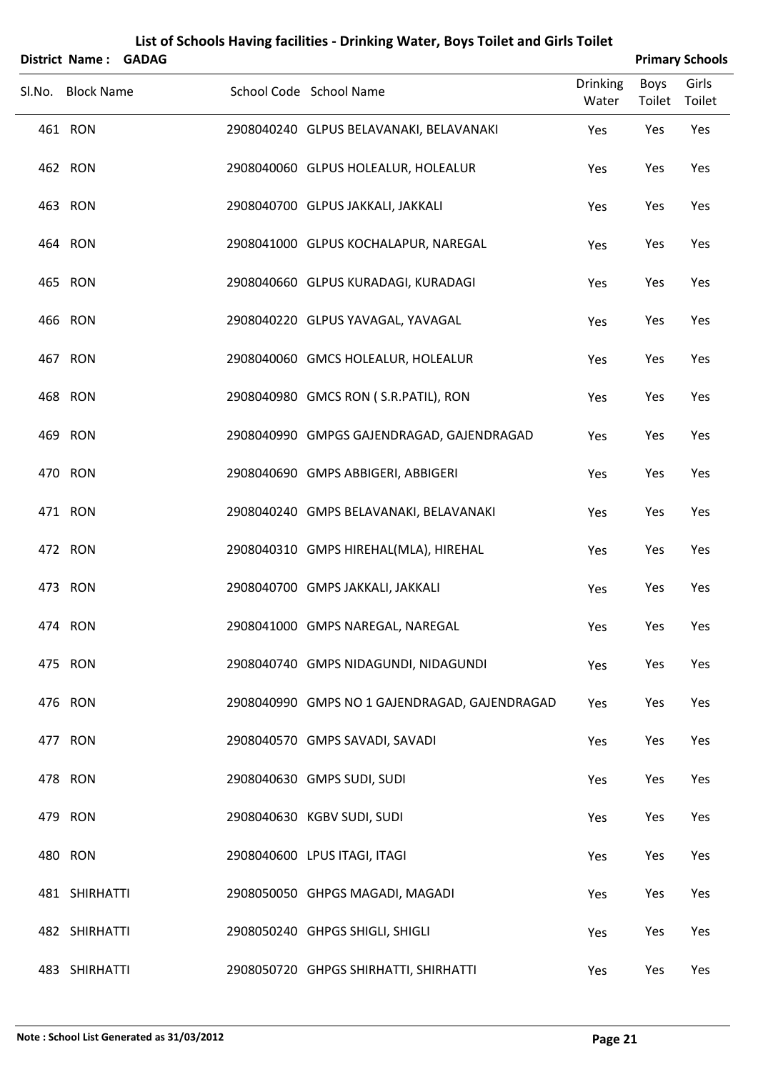| <b>District Name:</b> | <b>GADAG</b> |                                               |                          |                | <b>Primary Schools</b> |
|-----------------------|--------------|-----------------------------------------------|--------------------------|----------------|------------------------|
| Sl.No. Block Name     |              | School Code School Name                       | <b>Drinking</b><br>Water | Boys<br>Toilet | Girls<br>Toilet        |
| 461 RON               |              | 2908040240 GLPUS BELAVANAKI, BELAVANAKI       | Yes                      | Yes            | Yes                    |
| 462 RON               |              | 2908040060 GLPUS HOLEALUR, HOLEALUR           | Yes                      | Yes            | Yes                    |
| 463 RON               |              | 2908040700 GLPUS JAKKALI, JAKKALI             | Yes                      | Yes            | Yes                    |
| 464 RON               |              | 2908041000 GLPUS KOCHALAPUR, NAREGAL          | Yes                      | Yes            | Yes                    |
| 465 RON               |              | 2908040660 GLPUS KURADAGI, KURADAGI           | Yes                      | Yes            | Yes                    |
| 466 RON               |              | 2908040220 GLPUS YAVAGAL, YAVAGAL             | Yes                      | Yes            | Yes                    |
| 467 RON               |              | 2908040060 GMCS HOLEALUR, HOLEALUR            | Yes                      | Yes            | Yes                    |
| 468 RON               |              | 2908040980 GMCS RON (S.R.PATIL), RON          | Yes                      | Yes            | Yes                    |
| 469 RON               |              | 2908040990 GMPGS GAJENDRAGAD, GAJENDRAGAD     | Yes                      | Yes            | Yes                    |
| 470 RON               |              | 2908040690 GMPS ABBIGERI, ABBIGERI            | Yes                      | Yes            | Yes                    |
| 471 RON               |              | 2908040240 GMPS BELAVANAKI, BELAVANAKI        | Yes                      | Yes            | Yes                    |
| 472 RON               |              | 2908040310 GMPS HIREHAL(MLA), HIREHAL         | Yes                      | Yes            | Yes                    |
| 473 RON               |              | 2908040700 GMPS JAKKALI, JAKKALI              | Yes                      | Yes            | Yes                    |
| 474 RON               |              | 2908041000 GMPS NAREGAL, NAREGAL              | Yes                      | Yes            | Yes                    |
| 475 RON               |              | 2908040740 GMPS NIDAGUNDI, NIDAGUNDI          | Yes                      | Yes            | Yes                    |
| 476 RON               |              | 2908040990 GMPS NO 1 GAJENDRAGAD, GAJENDRAGAD | Yes                      | Yes            | Yes                    |
| 477 RON               |              | 2908040570 GMPS SAVADI, SAVADI                | Yes                      | Yes            | Yes                    |
| 478 RON               |              | 2908040630 GMPS SUDI, SUDI                    | Yes                      | Yes            | Yes                    |
| 479 RON               |              | 2908040630 KGBV SUDI, SUDI                    | Yes                      | Yes            | Yes                    |
| 480 RON               |              | 2908040600 LPUS ITAGI, ITAGI                  | Yes                      | Yes            | Yes                    |
| 481 SHIRHATTI         |              | 2908050050 GHPGS MAGADI, MAGADI               | Yes                      | Yes            | Yes                    |
| 482 SHIRHATTI         |              | 2908050240 GHPGS SHIGLI, SHIGLI               | Yes                      | Yes            | Yes                    |
| 483 SHIRHATTI         |              | 2908050720 GHPGS SHIRHATTI, SHIRHATTI         | Yes                      | Yes            | Yes                    |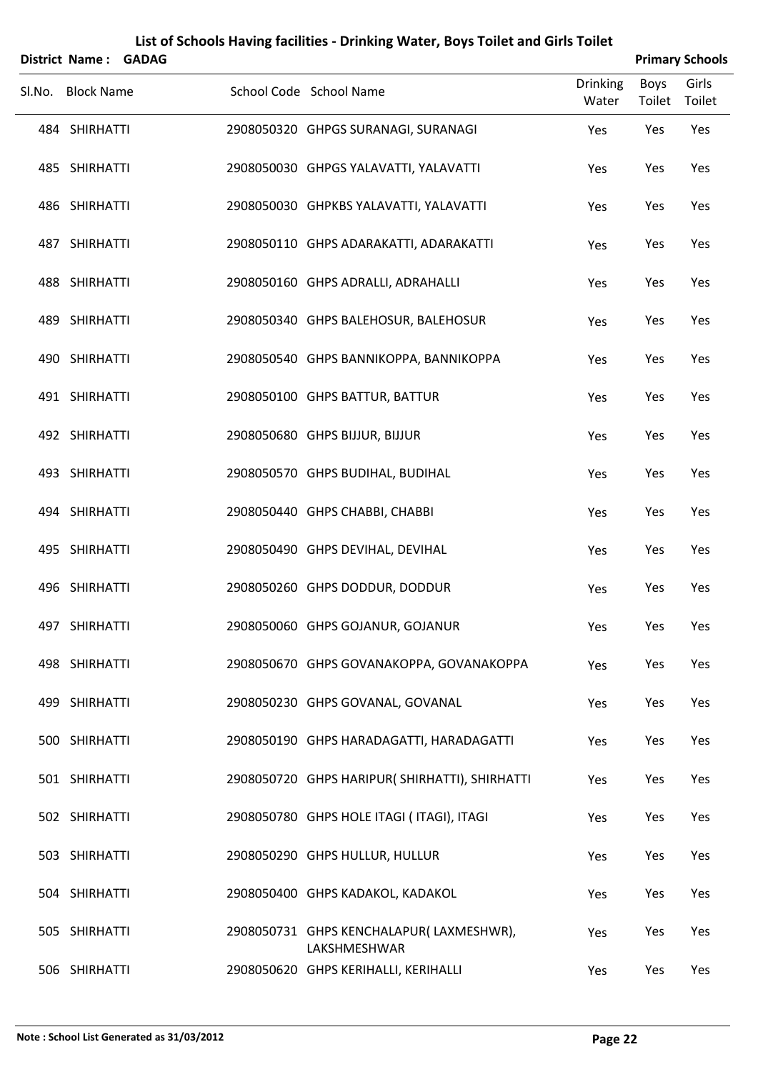|        | <b>District Name:</b> | <b>GADAG</b> |                                                         |                          |                | <b>Primary Schools</b> |
|--------|-----------------------|--------------|---------------------------------------------------------|--------------------------|----------------|------------------------|
| SI.No. | <b>Block Name</b>     |              | School Code School Name                                 | <b>Drinking</b><br>Water | Boys<br>Toilet | Girls<br>Toilet        |
|        | 484 SHIRHATTI         |              | 2908050320 GHPGS SURANAGI, SURANAGI                     | Yes                      | Yes            | Yes                    |
|        | 485 SHIRHATTI         |              | 2908050030 GHPGS YALAVATTI, YALAVATTI                   | Yes                      | Yes            | Yes                    |
|        | 486 SHIRHATTI         |              | 2908050030 GHPKBS YALAVATTI, YALAVATTI                  | Yes                      | Yes            | Yes                    |
|        | 487 SHIRHATTI         |              | 2908050110 GHPS ADARAKATTI, ADARAKATTI                  | Yes                      | Yes            | Yes                    |
|        | 488 SHIRHATTI         |              | 2908050160 GHPS ADRALLI, ADRAHALLI                      | Yes                      | Yes            | Yes                    |
|        | 489 SHIRHATTI         |              | 2908050340 GHPS BALEHOSUR, BALEHOSUR                    | Yes                      | Yes            | Yes                    |
|        | 490 SHIRHATTI         |              | 2908050540 GHPS BANNIKOPPA, BANNIKOPPA                  | Yes                      | Yes            | Yes                    |
|        | 491 SHIRHATTI         |              | 2908050100 GHPS BATTUR, BATTUR                          | Yes                      | Yes            | Yes                    |
|        | 492 SHIRHATTI         |              | 2908050680 GHPS BIJJUR, BIJJUR                          | Yes                      | Yes            | Yes                    |
|        | 493 SHIRHATTI         |              | 2908050570 GHPS BUDIHAL, BUDIHAL                        | Yes                      | Yes            | Yes                    |
|        | 494 SHIRHATTI         |              | 2908050440 GHPS CHABBI, CHABBI                          | Yes                      | Yes            | Yes                    |
|        | 495 SHIRHATTI         |              | 2908050490 GHPS DEVIHAL, DEVIHAL                        | Yes                      | Yes            | Yes                    |
|        | 496 SHIRHATTI         |              | 2908050260 GHPS DODDUR, DODDUR                          | Yes                      | Yes            | Yes                    |
|        | 497 SHIRHATTI         |              | 2908050060 GHPS GOJANUR, GOJANUR                        | Yes                      | Yes            | Yes                    |
|        | 498 SHIRHATTI         |              | 2908050670 GHPS GOVANAKOPPA, GOVANAKOPPA                | Yes                      | Yes            | Yes                    |
|        | 499 SHIRHATTI         |              | 2908050230 GHPS GOVANAL, GOVANAL                        | Yes                      | Yes            | Yes                    |
|        | 500 SHIRHATTI         |              | 2908050190 GHPS HARADAGATTI, HARADAGATTI                | Yes                      | Yes            | Yes                    |
|        | 501 SHIRHATTI         |              | 2908050720 GHPS HARIPUR(SHIRHATTI), SHIRHATTI           | Yes                      | Yes            | Yes                    |
|        | 502 SHIRHATTI         |              | 2908050780 GHPS HOLE ITAGI (ITAGI), ITAGI               | Yes                      | Yes            | Yes                    |
|        | 503 SHIRHATTI         |              | 2908050290 GHPS HULLUR, HULLUR                          | Yes                      | Yes            | Yes                    |
|        | 504 SHIRHATTI         |              | 2908050400 GHPS KADAKOL, KADAKOL                        | Yes                      | Yes            | Yes                    |
|        | 505 SHIRHATTI         |              | 2908050731 GHPS KENCHALAPUR(LAXMESHWR),<br>LAKSHMESHWAR | Yes                      | Yes            | Yes                    |
|        | 506 SHIRHATTI         |              | 2908050620 GHPS KERIHALLI, KERIHALLI                    | Yes                      | Yes            | Yes                    |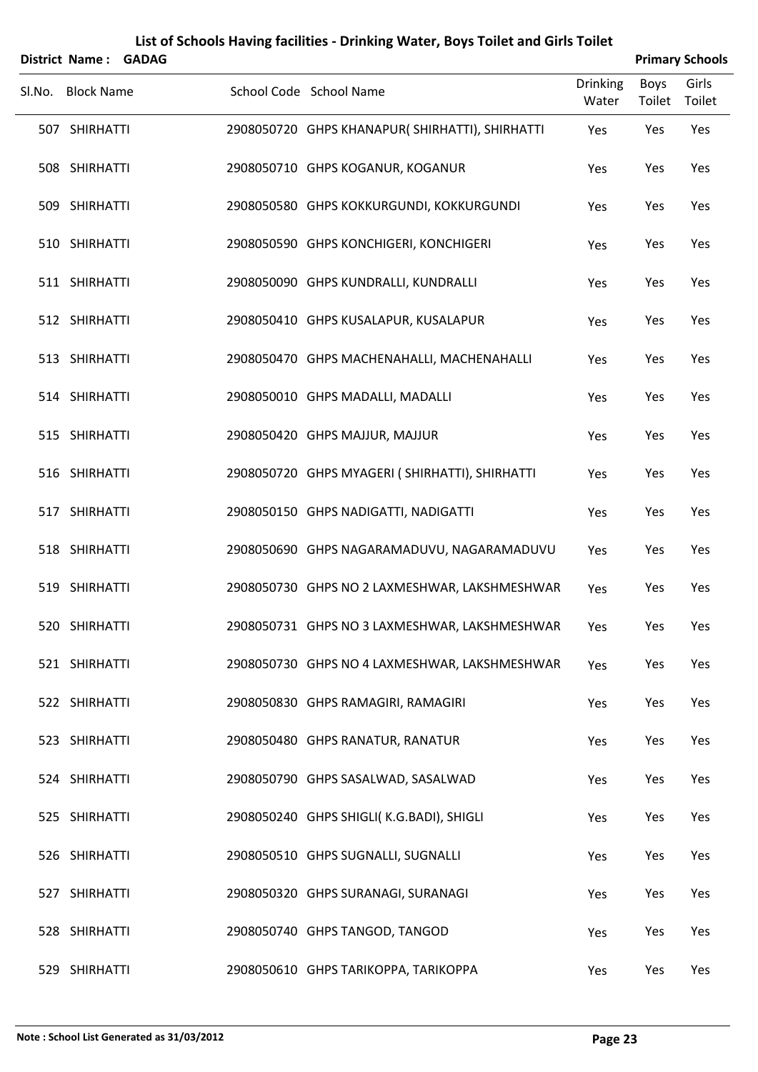|        | <b>District Name:</b> | <b>GADAG</b> |                                                |                          |                       | <b>Primary Schools</b> |
|--------|-----------------------|--------------|------------------------------------------------|--------------------------|-----------------------|------------------------|
| SI.No. | <b>Block Name</b>     |              | School Code School Name                        | <b>Drinking</b><br>Water | <b>Boys</b><br>Toilet | Girls<br>Toilet        |
|        | 507 SHIRHATTI         |              | 2908050720 GHPS KHANAPUR(SHIRHATTI), SHIRHATTI | Yes                      | Yes                   | Yes                    |
|        | 508 SHIRHATTI         |              | 2908050710 GHPS KOGANUR, KOGANUR               | Yes                      | Yes                   | Yes                    |
|        | 509 SHIRHATTI         |              | 2908050580 GHPS KOKKURGUNDI, KOKKURGUNDI       | Yes                      | Yes                   | Yes                    |
|        | 510 SHIRHATTI         |              | 2908050590 GHPS KONCHIGERI, KONCHIGERI         | Yes                      | Yes                   | Yes                    |
|        | 511 SHIRHATTI         |              | 2908050090 GHPS KUNDRALLI, KUNDRALLI           | Yes                      | Yes                   | Yes                    |
|        | 512 SHIRHATTI         |              | 2908050410 GHPS KUSALAPUR, KUSALAPUR           | Yes                      | Yes                   | Yes                    |
|        | 513 SHIRHATTI         |              | 2908050470 GHPS MACHENAHALLI, MACHENAHALLI     | Yes                      | Yes                   | Yes                    |
|        | 514 SHIRHATTI         |              | 2908050010 GHPS MADALLI, MADALLI               | Yes                      | Yes                   | Yes                    |
|        | 515 SHIRHATTI         |              | 2908050420 GHPS MAJJUR, MAJJUR                 | Yes                      | Yes                   | Yes                    |
|        | 516 SHIRHATTI         |              | 2908050720 GHPS MYAGERI (SHIRHATTI), SHIRHATTI | Yes                      | Yes                   | Yes                    |
|        | 517 SHIRHATTI         |              | 2908050150 GHPS NADIGATTI, NADIGATTI           | Yes                      | Yes                   | Yes                    |
|        | 518 SHIRHATTI         |              | 2908050690 GHPS NAGARAMADUVU, NAGARAMADUVU     | Yes                      | Yes                   | Yes                    |
|        | 519 SHIRHATTI         |              | 2908050730 GHPS NO 2 LAXMESHWAR, LAKSHMESHWAR  | Yes                      | Yes                   | Yes                    |
|        | 520 SHIRHATTI         |              | 2908050731 GHPS NO 3 LAXMESHWAR, LAKSHMESHWAR  | Yes                      | Yes                   | Yes                    |
|        | 521 SHIRHATTI         |              | 2908050730 GHPS NO 4 LAXMESHWAR, LAKSHMESHWAR  | Yes                      | Yes                   | Yes                    |
|        | 522 SHIRHATTI         |              | 2908050830 GHPS RAMAGIRI, RAMAGIRI             | Yes                      | Yes                   | Yes                    |
|        | 523 SHIRHATTI         |              | 2908050480 GHPS RANATUR, RANATUR               | Yes                      | Yes                   | Yes                    |
|        | 524 SHIRHATTI         |              | 2908050790 GHPS SASALWAD, SASALWAD             | Yes                      | Yes                   | Yes                    |
|        | 525 SHIRHATTI         |              | 2908050240 GHPS SHIGLI(K.G.BADI), SHIGLI       | Yes                      | Yes                   | Yes                    |
|        | 526 SHIRHATTI         |              | 2908050510 GHPS SUGNALLI, SUGNALLI             | Yes                      | Yes                   | Yes                    |
|        | 527 SHIRHATTI         |              | 2908050320 GHPS SURANAGI, SURANAGI             | Yes                      | Yes                   | Yes                    |
|        | 528 SHIRHATTI         |              | 2908050740 GHPS TANGOD, TANGOD                 | Yes                      | Yes                   | Yes                    |
|        | 529 SHIRHATTI         |              | 2908050610 GHPS TARIKOPPA, TARIKOPPA           | Yes                      | Yes                   | Yes                    |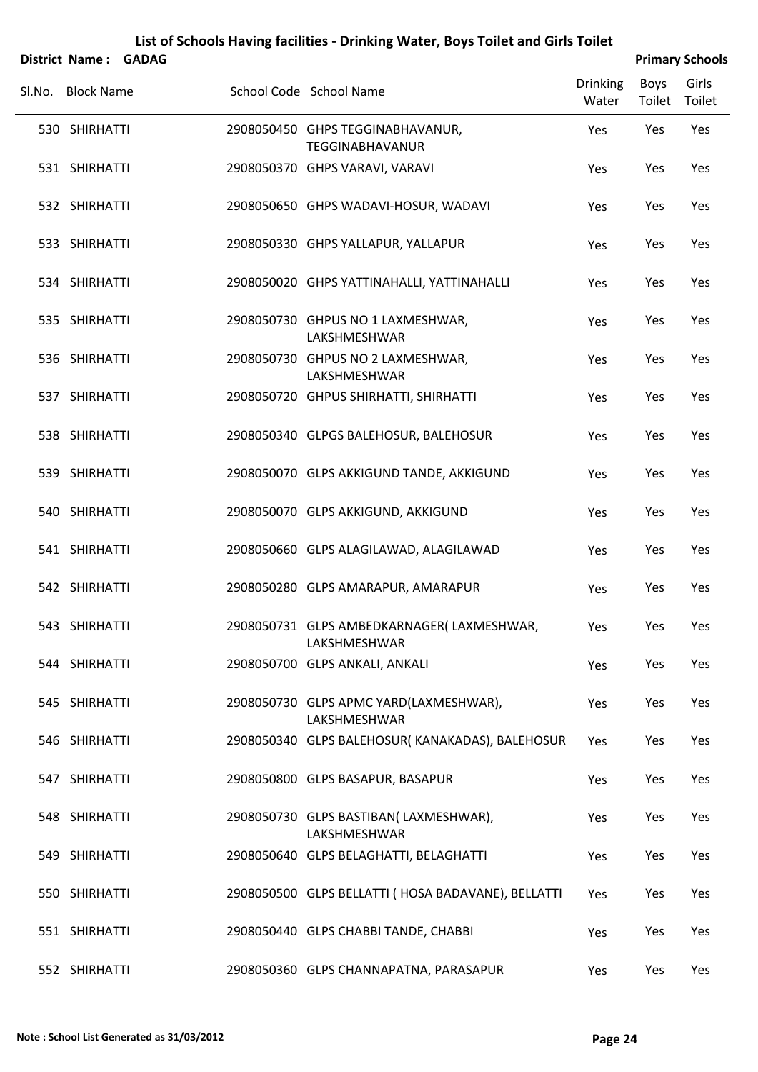|        | District Name: GADAG |  |                                                            |                          |                | <b>Primary Schools</b> |
|--------|----------------------|--|------------------------------------------------------------|--------------------------|----------------|------------------------|
| SI.No. | <b>Block Name</b>    |  | School Code School Name                                    | <b>Drinking</b><br>Water | Boys<br>Toilet | Girls<br>Toilet        |
|        | 530 SHIRHATTI        |  | 2908050450 GHPS TEGGINABHAVANUR,<br><b>TEGGINABHAVANUR</b> | Yes                      | Yes            | Yes                    |
|        | 531 SHIRHATTI        |  | 2908050370 GHPS VARAVI, VARAVI                             | Yes                      | Yes            | Yes                    |
|        | 532 SHIRHATTI        |  | 2908050650 GHPS WADAVI-HOSUR, WADAVI                       | Yes                      | Yes            | Yes                    |
|        | 533 SHIRHATTI        |  | 2908050330 GHPS YALLAPUR, YALLAPUR                         | Yes                      | Yes            | Yes                    |
|        | 534 SHIRHATTI        |  | 2908050020 GHPS YATTINAHALLI, YATTINAHALLI                 | Yes                      | Yes            | Yes                    |
|        | 535 SHIRHATTI        |  | 2908050730 GHPUS NO 1 LAXMESHWAR,<br>LAKSHMESHWAR          | Yes                      | Yes            | Yes                    |
|        | 536 SHIRHATTI        |  | 2908050730 GHPUS NO 2 LAXMESHWAR,<br>LAKSHMESHWAR          | Yes                      | Yes            | Yes                    |
|        | 537 SHIRHATTI        |  | 2908050720 GHPUS SHIRHATTI, SHIRHATTI                      | Yes                      | Yes            | Yes                    |
|        | 538 SHIRHATTI        |  | 2908050340 GLPGS BALEHOSUR, BALEHOSUR                      | Yes                      | Yes            | Yes                    |
|        | 539 SHIRHATTI        |  | 2908050070 GLPS AKKIGUND TANDE, AKKIGUND                   | Yes                      | Yes            | Yes                    |
|        | 540 SHIRHATTI        |  | 2908050070 GLPS AKKIGUND, AKKIGUND                         | Yes                      | Yes            | Yes                    |
|        | 541 SHIRHATTI        |  | 2908050660 GLPS ALAGILAWAD, ALAGILAWAD                     | Yes                      | Yes            | Yes                    |
|        | 542 SHIRHATTI        |  | 2908050280 GLPS AMARAPUR, AMARAPUR                         | Yes                      | Yes            | Yes                    |
|        | 543 SHIRHATTI        |  | 2908050731 GLPS AMBEDKARNAGER(LAXMESHWAR,<br>LAKSHMESHWAR  | Yes                      | Yes            | Yes                    |
|        | 544 SHIRHATTI        |  | 2908050700 GLPS ANKALI, ANKALI                             | Yes                      | Yes            | Yes                    |
|        | 545 SHIRHATTI        |  | 2908050730 GLPS APMC YARD(LAXMESHWAR),<br>LAKSHMESHWAR     | Yes                      | Yes            | Yes                    |
|        | 546 SHIRHATTI        |  | 2908050340 GLPS BALEHOSUR(KANAKADAS), BALEHOSUR            | Yes                      | Yes            | Yes                    |
|        | 547 SHIRHATTI        |  | 2908050800 GLPS BASAPUR, BASAPUR                           | Yes                      | Yes            | Yes                    |
|        | 548 SHIRHATTI        |  | 2908050730 GLPS BASTIBAN(LAXMESHWAR),<br>LAKSHMESHWAR      | Yes                      | Yes            | Yes                    |
|        | 549 SHIRHATTI        |  | 2908050640 GLPS BELAGHATTI, BELAGHATTI                     | Yes                      | Yes            | Yes                    |
|        | 550 SHIRHATTI        |  | 2908050500 GLPS BELLATTI (HOSA BADAVANE), BELLATTI         | Yes                      | Yes            | Yes                    |
|        | 551 SHIRHATTI        |  | 2908050440 GLPS CHABBI TANDE, CHABBI                       | Yes                      | Yes            | Yes                    |
|        | 552 SHIRHATTI        |  | 2908050360 GLPS CHANNAPATNA, PARASAPUR                     | Yes                      | Yes            | Yes                    |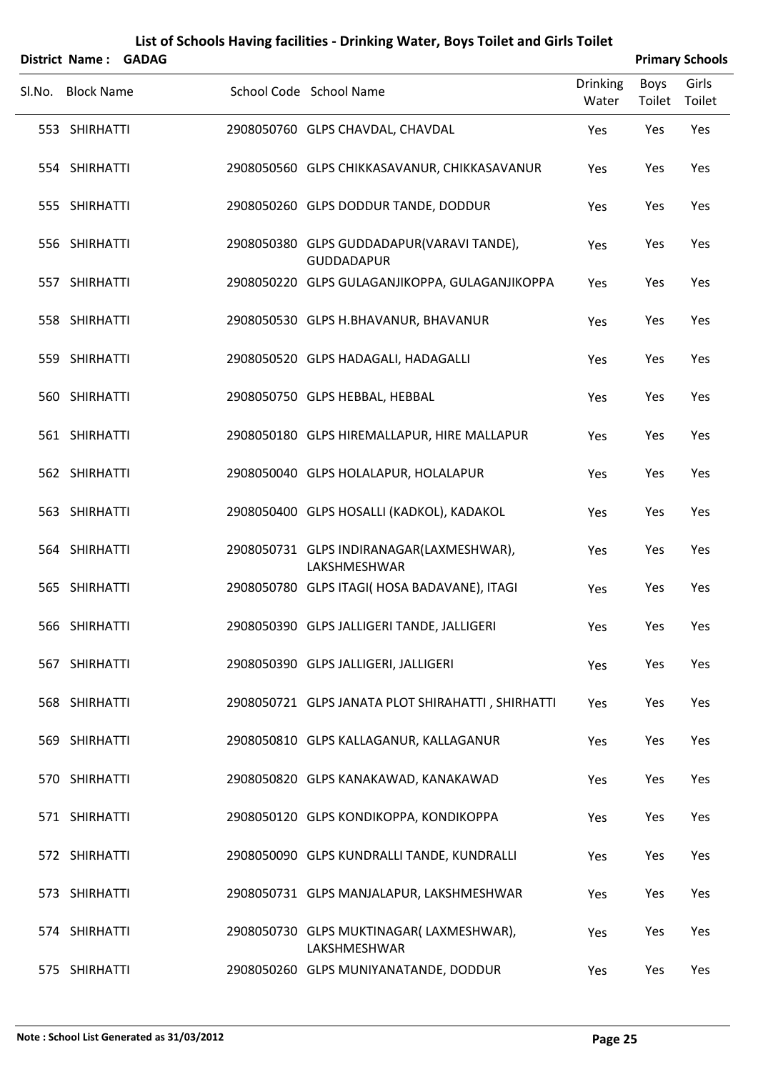|        | District Name: GADAG |  |                                                                |                          |                | <b>Primary Schools</b> |
|--------|----------------------|--|----------------------------------------------------------------|--------------------------|----------------|------------------------|
| Sl.No. | <b>Block Name</b>    |  | School Code School Name                                        | <b>Drinking</b><br>Water | Boys<br>Toilet | Girls<br>Toilet        |
|        | 553 SHIRHATTI        |  | 2908050760 GLPS CHAVDAL, CHAVDAL                               | Yes                      | Yes            | Yes                    |
|        | 554 SHIRHATTI        |  | 2908050560 GLPS CHIKKASAVANUR, CHIKKASAVANUR                   | Yes                      | Yes            | Yes                    |
|        | 555 SHIRHATTI        |  | 2908050260 GLPS DODDUR TANDE, DODDUR                           | Yes                      | Yes            | Yes                    |
|        | 556 SHIRHATTI        |  | 2908050380 GLPS GUDDADAPUR(VARAVI TANDE),<br><b>GUDDADAPUR</b> | Yes                      | Yes            | Yes                    |
|        | 557 SHIRHATTI        |  | 2908050220 GLPS GULAGANJIKOPPA, GULAGANJIKOPPA                 | Yes                      | Yes            | Yes                    |
|        | 558 SHIRHATTI        |  | 2908050530 GLPS H.BHAVANUR, BHAVANUR                           | Yes                      | Yes            | Yes                    |
|        | 559 SHIRHATTI        |  | 2908050520 GLPS HADAGALI, HADAGALLI                            | Yes                      | Yes            | Yes                    |
|        | 560 SHIRHATTI        |  | 2908050750 GLPS HEBBAL, HEBBAL                                 | Yes                      | Yes            | Yes                    |
|        | 561 SHIRHATTI        |  | 2908050180 GLPS HIREMALLAPUR, HIRE MALLAPUR                    | Yes                      | Yes            | Yes                    |
|        | 562 SHIRHATTI        |  | 2908050040 GLPS HOLALAPUR, HOLALAPUR                           | Yes                      | Yes            | Yes                    |
|        | 563 SHIRHATTI        |  | 2908050400 GLPS HOSALLI (KADKOL), KADAKOL                      | Yes                      | Yes            | Yes                    |
|        | 564 SHIRHATTI        |  | 2908050731 GLPS INDIRANAGAR(LAXMESHWAR),<br>LAKSHMESHWAR       | Yes                      | Yes            | Yes                    |
|        | 565 SHIRHATTI        |  | 2908050780 GLPS ITAGI( HOSA BADAVANE), ITAGI                   | Yes                      | Yes            | Yes                    |
|        | 566 SHIRHATTI        |  | 2908050390 GLPS JALLIGERI TANDE, JALLIGERI                     | Yes                      | Yes            | Yes                    |
|        | 567 SHIRHATTI        |  | 2908050390 GLPS JALLIGERI, JALLIGERI                           | Yes                      | Yes            | Yes                    |
|        | 568 SHIRHATTI        |  | 2908050721 GLPS JANATA PLOT SHIRAHATTI, SHIRHATTI              | Yes                      | Yes            | Yes                    |
|        | 569 SHIRHATTI        |  | 2908050810 GLPS KALLAGANUR, KALLAGANUR                         | Yes                      | Yes            | Yes                    |
|        | 570 SHIRHATTI        |  | 2908050820 GLPS KANAKAWAD, KANAKAWAD                           | Yes                      | Yes            | Yes                    |
|        | 571 SHIRHATTI        |  | 2908050120 GLPS KONDIKOPPA, KONDIKOPPA                         | Yes                      | Yes            | Yes                    |
|        | 572 SHIRHATTI        |  | 2908050090 GLPS KUNDRALLI TANDE, KUNDRALLI                     | Yes                      | Yes            | Yes                    |
|        | 573 SHIRHATTI        |  | 2908050731 GLPS MANJALAPUR, LAKSHMESHWAR                       | Yes                      | Yes            | Yes                    |
|        | 574 SHIRHATTI        |  | 2908050730 GLPS MUKTINAGAR(LAXMESHWAR),<br>LAKSHMESHWAR        | Yes                      | Yes            | Yes                    |
|        | 575 SHIRHATTI        |  | 2908050260 GLPS MUNIYANATANDE, DODDUR                          | Yes                      | Yes            | Yes                    |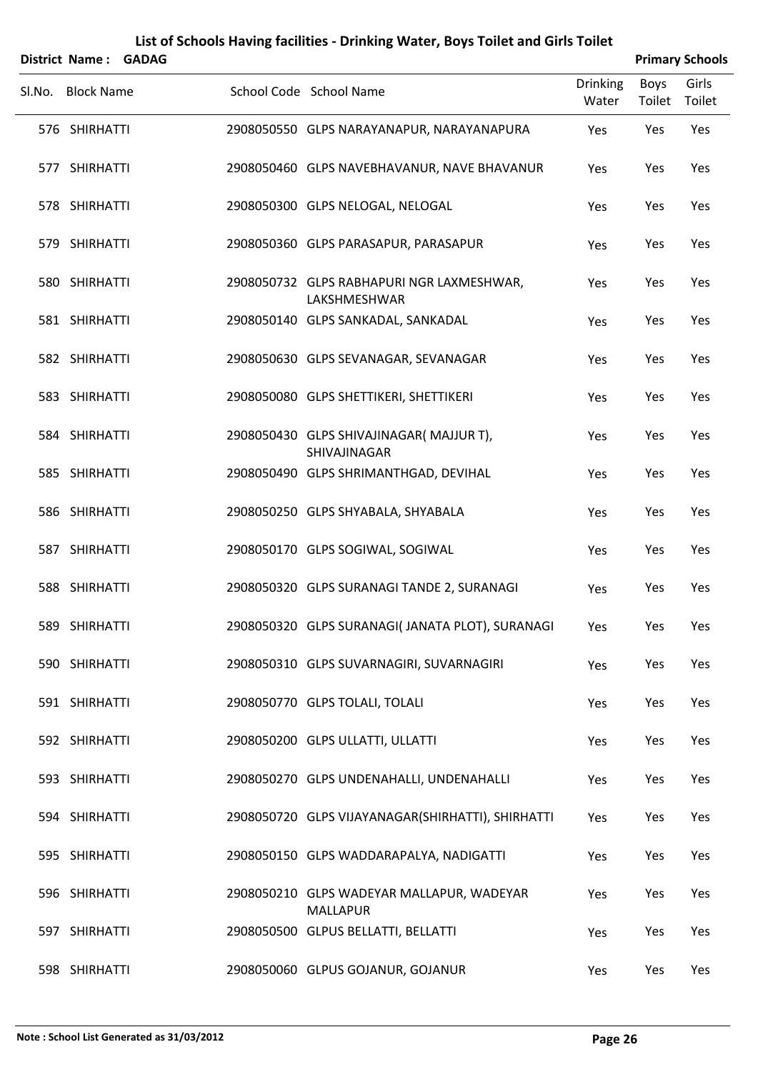|        | <b>District Name:</b> | <b>GADAG</b> | List of Schools Having facilities - Drinking Water, Boys Toilet and Girls Toilet |                          |                       | <b>Primary Schools</b> |
|--------|-----------------------|--------------|----------------------------------------------------------------------------------|--------------------------|-----------------------|------------------------|
| Sl.No. | <b>Block Name</b>     |              | School Code School Name                                                          | <b>Drinking</b><br>Water | <b>Boys</b><br>Toilet | Girls<br>Toilet        |
|        | 576 SHIRHATTI         |              | 2908050550 GLPS NARAYANAPUR, NARAYANAPURA                                        | Yes                      | Yes                   | Yes                    |
|        | 577 SHIRHATTI         |              | 2908050460 GLPS NAVEBHAVANUR, NAVE BHAVANUR                                      | Yes                      | Yes                   | Yes                    |
|        | 578 SHIRHATTI         |              | 2908050300 GLPS NELOGAL, NELOGAL                                                 | Yes                      | Yes                   | Yes                    |
|        | 579 SHIRHATTI         |              | 2908050360 GLPS PARASAPUR, PARASAPUR                                             | Yes                      | Yes                   | Yes                    |
|        | 580 SHIRHATTI         |              | 2908050732 GLPS RABHAPURI NGR LAXMESHWAR,<br>LAKSHMESHWAR                        | Yes                      | Yes                   | Yes                    |
|        | 581 SHIRHATTI         |              | 2908050140 GLPS SANKADAL, SANKADAL                                               | Yes                      | Yes                   | Yes                    |
|        | 582 SHIRHATTI         |              | 2908050630 GLPS SEVANAGAR, SEVANAGAR                                             | Yes                      | Yes                   | Yes                    |
|        | 583 SHIRHATTI         |              | 2908050080 GLPS SHETTIKERI, SHETTIKERI                                           | Yes                      | Yes                   | Yes                    |
|        | 584 SHIRHATTI         |              | 2908050430 GLPS SHIVAJINAGAR(MAJJUR T),<br>SHIVAJINAGAR                          | Yes                      | Yes                   | Yes                    |
|        | 585 SHIRHATTI         |              | 2908050490 GLPS SHRIMANTHGAD, DEVIHAL                                            | Yes                      | Yes                   | Yes                    |
|        | 586 SHIRHATTI         |              | 2908050250 GLPS SHYABALA, SHYABALA                                               | Yes                      | Yes                   | Yes                    |
|        | 587 SHIRHATTI         |              | 2908050170 GLPS SOGIWAL, SOGIWAL                                                 | Yes                      | Yes                   | Yes                    |
|        | 588 SHIRHATTI         |              | 2908050320 GLPS SURANAGI TANDE 2, SURANAGI                                       | Yes                      | Yes                   | Yes                    |
|        | 589 SHIRHATTI         |              | 2908050320 GLPS SURANAGI(JANATA PLOT), SURANAGI                                  | Yes                      | Yes                   | Yes                    |
|        | 590 SHIRHATTI         |              | 2908050310 GLPS SUVARNAGIRI, SUVARNAGIRI                                         | Yes                      | Yes                   | Yes                    |
|        | 591 SHIRHATTI         |              | 2908050770 GLPS TOLALI, TOLALI                                                   | Yes                      | Yes                   | Yes                    |
|        | 592 SHIRHATTI         |              | 2908050200 GLPS ULLATTI, ULLATTI                                                 | Yes                      | Yes                   | Yes                    |
|        | 593 SHIRHATTI         |              | 2908050270 GLPS UNDENAHALLI, UNDENAHALLI                                         | Yes                      | Yes                   | Yes                    |
|        | 594 SHIRHATTI         |              | 2908050720 GLPS VIJAYANAGAR(SHIRHATTI), SHIRHATTI                                | Yes                      | Yes                   | Yes                    |
|        | 595 SHIRHATTI         |              | 2908050150 GLPS WADDARAPALYA, NADIGATTI                                          | Yes                      | Yes                   | Yes                    |
|        | 596 SHIRHATTI         |              | 2908050210 GLPS WADEYAR MALLAPUR, WADEYAR<br><b>MALLAPUR</b>                     | Yes                      | Yes                   | Yes                    |
|        | 597 SHIRHATTI         |              | 2908050500 GLPUS BELLATTI, BELLATTI                                              | Yes                      | Yes                   | Yes                    |
|        | 598 SHIRHATTI         |              | 2908050060 GLPUS GOJANUR, GOJANUR                                                | Yes                      | Yes                   | Yes                    |